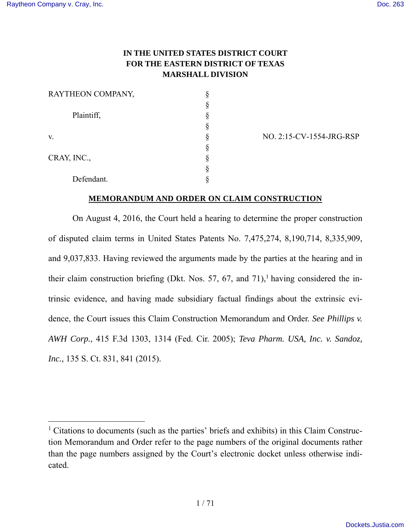$\overline{a}$ 

# **IN THE UNITED STATES DISTRICT COURT FOR THE EASTERN DISTRICT OF TEXAS MARSHALL DIVISION**

| RAYTHEON COMPANY, |  |
|-------------------|--|
|                   |  |
| Plaintiff,        |  |
|                   |  |
| V.                |  |
|                   |  |
| CRAY, INC.,       |  |
|                   |  |
| Defendant.        |  |

v. § NO. 2:15-CV-1554-JRG-RSP

### **MEMORANDUM AND ORDER ON CLAIM CONSTRUCTION**

On August 4, 2016, the Court held a hearing to determine the proper construction of disputed claim terms in United States Patents No. 7,475,274, 8,190,714, 8,335,909, and 9,037,833. Having reviewed the arguments made by the parties at the hearing and in their claim construction briefing (Dkt. Nos. 57, 67, and  $71$ ),<sup>1</sup> having considered the intrinsic evidence, and having made subsidiary factual findings about the extrinsic evidence, the Court issues this Claim Construction Memorandum and Order. *See Phillips v. AWH Corp.*, 415 F.3d 1303, 1314 (Fed. Cir. 2005); *Teva Pharm. USA, Inc. v. Sandoz, Inc.*, 135 S. Ct. 831, 841 (2015).

<sup>&</sup>lt;sup>1</sup> Citations to documents (such as the parties' briefs and exhibits) in this Claim Construction Memorandum and Order refer to the page numbers of the original documents rather than the page numbers assigned by the Court's electronic docket unless otherwise indicated.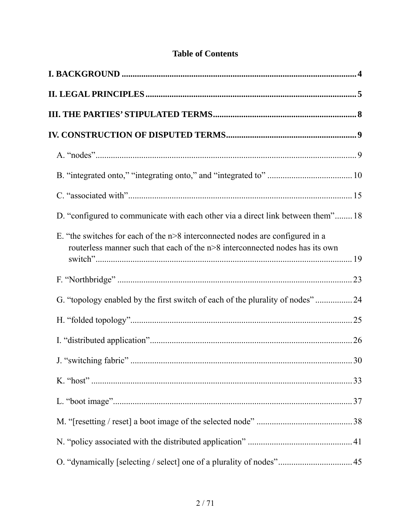| D. "configured to communicate with each other via a direct link between them" 18                                                                              |  |
|---------------------------------------------------------------------------------------------------------------------------------------------------------------|--|
| E. "the switches for each of the n>8 interconnected nodes are configured in a<br>routerless manner such that each of the n>8 interconnected nodes has its own |  |
|                                                                                                                                                               |  |
| G. "topology enabled by the first switch of each of the plurality of nodes"24                                                                                 |  |
|                                                                                                                                                               |  |
|                                                                                                                                                               |  |
|                                                                                                                                                               |  |
|                                                                                                                                                               |  |
|                                                                                                                                                               |  |
|                                                                                                                                                               |  |
|                                                                                                                                                               |  |
|                                                                                                                                                               |  |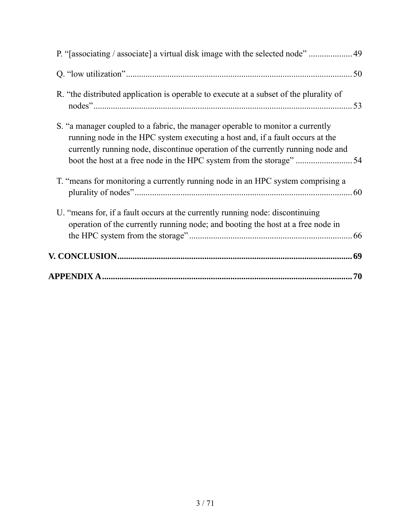|                                                                                                                                                                                                                                                    | 70 |
|----------------------------------------------------------------------------------------------------------------------------------------------------------------------------------------------------------------------------------------------------|----|
|                                                                                                                                                                                                                                                    |    |
| U. "means for, if a fault occurs at the currently running node: discontinuing<br>operation of the currently running node; and booting the host at a free node in                                                                                   |    |
| T. "means for monitoring a currently running node in an HPC system comprising a                                                                                                                                                                    |    |
| S. "a manager coupled to a fabric, the manager operable to monitor a currently<br>running node in the HPC system executing a host and, if a fault occurs at the<br>currently running node, discontinue operation of the currently running node and |    |
| R. "the distributed application is operable to execute at a subset of the plurality of                                                                                                                                                             |    |
|                                                                                                                                                                                                                                                    |    |
| P. "[associating / associate] a virtual disk image with the selected node"  49                                                                                                                                                                     |    |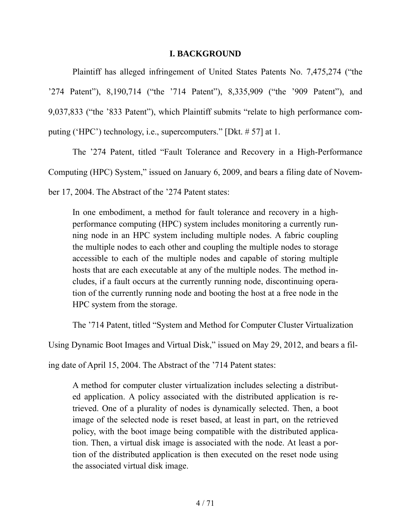### **I. BACKGROUND**

Plaintiff has alleged infringement of United States Patents No. 7,475,274 ("the '274 Patent"), 8,190,714 ("the '714 Patent"), 8,335,909 ("the '909 Patent"), and 9,037,833 ("the '833 Patent"), which Plaintiff submits "relate to high performance computing ('HPC') technology, i.e., supercomputers." [Dkt. # 57] at 1.

The '274 Patent, titled "Fault Tolerance and Recovery in a High-Performance

Computing (HPC) System," issued on January 6, 2009, and bears a filing date of Novem-

ber 17, 2004. The Abstract of the '274 Patent states:

In one embodiment, a method for fault tolerance and recovery in a highperformance computing (HPC) system includes monitoring a currently running node in an HPC system including multiple nodes. A fabric coupling the multiple nodes to each other and coupling the multiple nodes to storage accessible to each of the multiple nodes and capable of storing multiple hosts that are each executable at any of the multiple nodes. The method includes, if a fault occurs at the currently running node, discontinuing operation of the currently running node and booting the host at a free node in the HPC system from the storage.

The '714 Patent, titled "System and Method for Computer Cluster Virtualization

Using Dynamic Boot Images and Virtual Disk," issued on May 29, 2012, and bears a fil-

ing date of April 15, 2004. The Abstract of the '714 Patent states:

A method for computer cluster virtualization includes selecting a distributed application. A policy associated with the distributed application is retrieved. One of a plurality of nodes is dynamically selected. Then, a boot image of the selected node is reset based, at least in part, on the retrieved policy, with the boot image being compatible with the distributed application. Then, a virtual disk image is associated with the node. At least a portion of the distributed application is then executed on the reset node using the associated virtual disk image.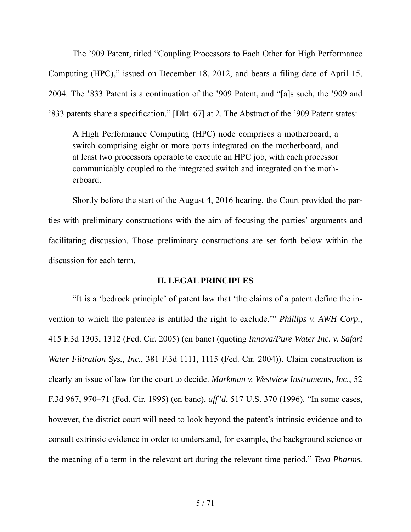The '909 Patent, titled "Coupling Processors to Each Other for High Performance Computing (HPC)," issued on December 18, 2012, and bears a filing date of April 15, 2004. The '833 Patent is a continuation of the '909 Patent, and "[a]s such, the '909 and '833 patents share a specification." [Dkt. 67] at 2. The Abstract of the '909 Patent states:

A High Performance Computing (HPC) node comprises a motherboard, a switch comprising eight or more ports integrated on the motherboard, and at least two processors operable to execute an HPC job, with each processor communicably coupled to the integrated switch and integrated on the motherboard.

Shortly before the start of the August 4, 2016 hearing, the Court provided the parties with preliminary constructions with the aim of focusing the parties' arguments and facilitating discussion. Those preliminary constructions are set forth below within the discussion for each term.

## **II. LEGAL PRINCIPLES**

"It is a 'bedrock principle' of patent law that 'the claims of a patent define the invention to which the patentee is entitled the right to exclude.'" *Phillips v. AWH Corp.*, 415 F.3d 1303, 1312 (Fed. Cir. 2005) (en banc) (quoting *Innova/Pure Water Inc. v. Safari Water Filtration Sys., Inc.*, 381 F.3d 1111, 1115 (Fed. Cir. 2004)). Claim construction is clearly an issue of law for the court to decide. *Markman v. Westview Instruments, Inc.*, 52 F.3d 967, 970–71 (Fed. Cir. 1995) (en banc), *aff'd*, 517 U.S. 370 (1996). "In some cases, however, the district court will need to look beyond the patent's intrinsic evidence and to consult extrinsic evidence in order to understand, for example, the background science or the meaning of a term in the relevant art during the relevant time period." *Teva Pharms.*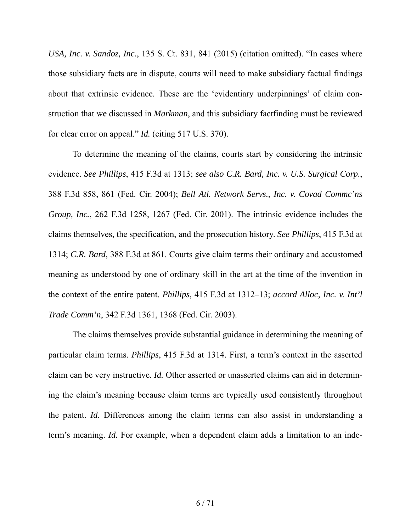*USA, Inc. v. Sandoz, Inc.*, 135 S. Ct. 831, 841 (2015) (citation omitted). "In cases where those subsidiary facts are in dispute, courts will need to make subsidiary factual findings about that extrinsic evidence. These are the 'evidentiary underpinnings' of claim construction that we discussed in *Markman*, and this subsidiary factfinding must be reviewed for clear error on appeal." *Id.* (citing 517 U.S. 370).

To determine the meaning of the claims, courts start by considering the intrinsic evidence. *See Phillips*, 415 F.3d at 1313; *see also C.R. Bard, Inc. v. U.S. Surgical Corp.*, 388 F.3d 858, 861 (Fed. Cir. 2004); *Bell Atl. Network Servs., Inc. v. Covad Commc'ns Group, Inc.*, 262 F.3d 1258, 1267 (Fed. Cir. 2001). The intrinsic evidence includes the claims themselves, the specification, and the prosecution history. *See Phillips*, 415 F.3d at 1314; *C.R. Bard*, 388 F.3d at 861. Courts give claim terms their ordinary and accustomed meaning as understood by one of ordinary skill in the art at the time of the invention in the context of the entire patent. *Phillips*, 415 F.3d at 1312–13; *accord Alloc, Inc. v. Int'l Trade Comm'n*, 342 F.3d 1361, 1368 (Fed. Cir. 2003).

The claims themselves provide substantial guidance in determining the meaning of particular claim terms. *Phillips*, 415 F.3d at 1314. First, a term's context in the asserted claim can be very instructive. *Id.* Other asserted or unasserted claims can aid in determining the claim's meaning because claim terms are typically used consistently throughout the patent. *Id.* Differences among the claim terms can also assist in understanding a term's meaning. *Id.* For example, when a dependent claim adds a limitation to an inde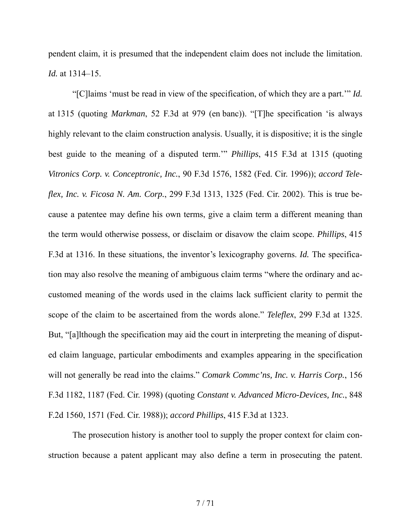pendent claim, it is presumed that the independent claim does not include the limitation. *Id.* at 1314–15.

"[C]laims 'must be read in view of the specification, of which they are a part.'" *Id.* at 1315 (quoting *Markman*, 52 F.3d at 979 (en banc)). "[T]he specification 'is always highly relevant to the claim construction analysis. Usually, it is dispositive; it is the single best guide to the meaning of a disputed term.'" *Phillips*, 415 F.3d at 1315 (quoting *Vitronics Corp. v. Conceptronic, Inc.*, 90 F.3d 1576, 1582 (Fed. Cir. 1996)); *accord Teleflex, Inc. v. Ficosa N. Am. Corp.*, 299 F.3d 1313, 1325 (Fed. Cir. 2002). This is true because a patentee may define his own terms, give a claim term a different meaning than the term would otherwise possess, or disclaim or disavow the claim scope. *Phillips*, 415 F.3d at 1316. In these situations, the inventor's lexicography governs. *Id.* The specification may also resolve the meaning of ambiguous claim terms "where the ordinary and accustomed meaning of the words used in the claims lack sufficient clarity to permit the scope of the claim to be ascertained from the words alone." *Teleflex*, 299 F.3d at 1325. But, "[a]lthough the specification may aid the court in interpreting the meaning of disputed claim language, particular embodiments and examples appearing in the specification will not generally be read into the claims." *Comark Commc'ns, Inc. v. Harris Corp.*, 156 F.3d 1182, 1187 (Fed. Cir. 1998) (quoting *Constant v. Advanced Micro-Devices, Inc.*, 848 F.2d 1560, 1571 (Fed. Cir. 1988)); *accord Phillips*, 415 F.3d at 1323.

The prosecution history is another tool to supply the proper context for claim construction because a patent applicant may also define a term in prosecuting the patent.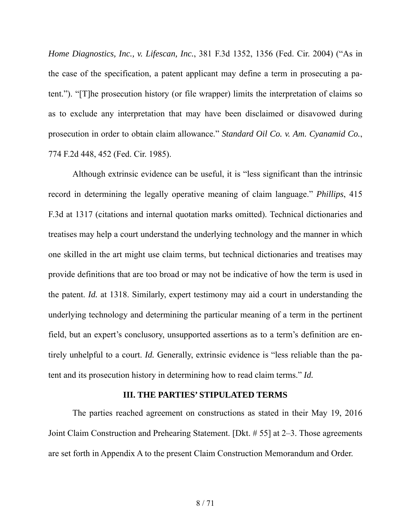*Home Diagnostics, Inc., v. Lifescan, Inc.*, 381 F.3d 1352, 1356 (Fed. Cir. 2004) ("As in the case of the specification, a patent applicant may define a term in prosecuting a patent."). "[T]he prosecution history (or file wrapper) limits the interpretation of claims so as to exclude any interpretation that may have been disclaimed or disavowed during prosecution in order to obtain claim allowance." *Standard Oil Co. v. Am. Cyanamid Co.*, 774 F.2d 448, 452 (Fed. Cir. 1985).

Although extrinsic evidence can be useful, it is "less significant than the intrinsic record in determining the legally operative meaning of claim language." *Phillips*, 415 F.3d at 1317 (citations and internal quotation marks omitted). Technical dictionaries and treatises may help a court understand the underlying technology and the manner in which one skilled in the art might use claim terms, but technical dictionaries and treatises may provide definitions that are too broad or may not be indicative of how the term is used in the patent. *Id.* at 1318. Similarly, expert testimony may aid a court in understanding the underlying technology and determining the particular meaning of a term in the pertinent field, but an expert's conclusory, unsupported assertions as to a term's definition are entirely unhelpful to a court. *Id.* Generally, extrinsic evidence is "less reliable than the patent and its prosecution history in determining how to read claim terms." *Id.* 

#### **III. THE PARTIES' STIPULATED TERMS**

The parties reached agreement on constructions as stated in their May 19, 2016 Joint Claim Construction and Prehearing Statement. [Dkt. # 55] at 2–3. Those agreements are set forth in Appendix A to the present Claim Construction Memorandum and Order.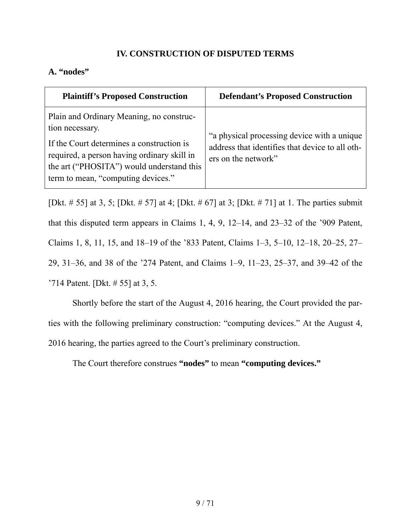# **IV. CONSTRUCTION OF DISPUTED TERMS**

# **A. "nodes"**

| <b>Plaintiff's Proposed Construction</b>                                                                                                                                                                                                   | <b>Defendant's Proposed Construction</b>                                                                              |
|--------------------------------------------------------------------------------------------------------------------------------------------------------------------------------------------------------------------------------------------|-----------------------------------------------------------------------------------------------------------------------|
| Plain and Ordinary Meaning, no construc-<br>tion necessary.<br>If the Court determines a construction is<br>required, a person having ordinary skill in<br>the art ("PHOSITA") would understand this<br>term to mean, "computing devices." | "a physical processing device with a unique<br>address that identifies that device to all oth-<br>ers on the network" |

[Dkt. # 55] at 3, 5; [Dkt. # 57] at 4; [Dkt. # 67] at 3; [Dkt. # 71] at 1. The parties submit that this disputed term appears in Claims 1, 4, 9, 12–14, and 23–32 of the '909 Patent, Claims 1, 8, 11, 15, and 18–19 of the '833 Patent, Claims 1–3, 5–10, 12–18, 20–25, 27– 29, 31–36, and 38 of the '274 Patent, and Claims 1–9, 11–23, 25–37, and 39–42 of the '714 Patent. [Dkt. # 55] at 3, 5.

Shortly before the start of the August 4, 2016 hearing, the Court provided the parties with the following preliminary construction: "computing devices." At the August 4, 2016 hearing, the parties agreed to the Court's preliminary construction.

The Court therefore construes **"nodes"** to mean **"computing devices."**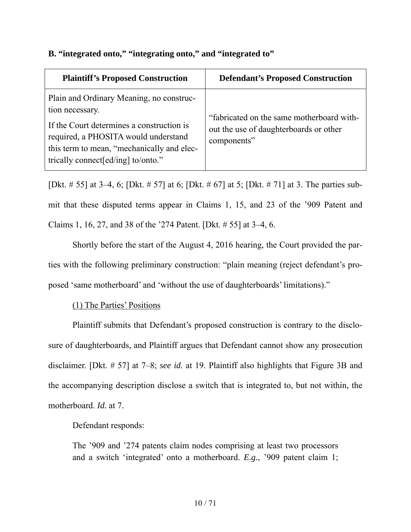| <b>Plaintiff's Proposed Construction</b>                                                                                                                                                                                              | <b>Defendant's Proposed Construction</b>                                                           |
|---------------------------------------------------------------------------------------------------------------------------------------------------------------------------------------------------------------------------------------|----------------------------------------------------------------------------------------------------|
| Plain and Ordinary Meaning, no construc-<br>tion necessary.<br>If the Court determines a construction is<br>required, a PHOSITA would understand<br>this term to mean, "mechanically and elec-<br>trically connect [ed/ing] to/onto." | "fabricated on the same motherboard with-<br>out the use of daughterboards or other<br>components" |

## **B. "integrated onto," "integrating onto," and "integrated to"**

[Dkt. # 55] at 3–4, 6; [Dkt. # 57] at 6; [Dkt. # 67] at 5; [Dkt. # 71] at 3. The parties submit that these disputed terms appear in Claims 1, 15, and 23 of the '909 Patent and Claims 1, 16, 27, and 38 of the '274 Patent. [Dkt. # 55] at 3–4, 6.

Shortly before the start of the August 4, 2016 hearing, the Court provided the parties with the following preliminary construction: "plain meaning (reject defendant's proposed 'same motherboard' and 'without the use of daughterboards' limitations)."

# (1) The Parties' Positions

Plaintiff submits that Defendant's proposed construction is contrary to the disclosure of daughterboards, and Plaintiff argues that Defendant cannot show any prosecution disclaimer. [Dkt. # 57] at 7–8; *see id.* at 19. Plaintiff also highlights that Figure 3B and the accompanying description disclose a switch that is integrated to, but not within, the motherboard. *Id.* at 7.

Defendant responds:

The '909 and '274 patents claim nodes comprising at least two processors and a switch 'integrated' onto a motherboard. *E.g.*, '909 patent claim 1;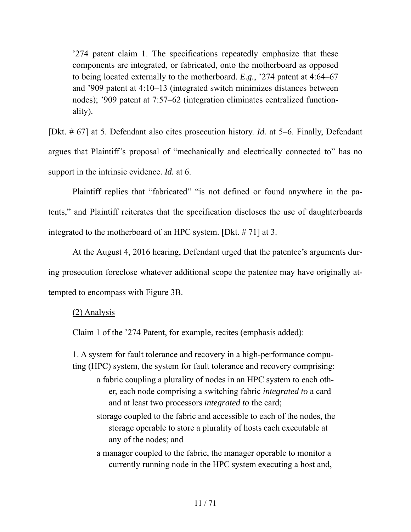'274 patent claim 1. The specifications repeatedly emphasize that these components are integrated, or fabricated, onto the motherboard as opposed to being located externally to the motherboard. *E.g.*, '274 patent at 4:64–67 and '909 patent at 4:10–13 (integrated switch minimizes distances between nodes); '909 patent at 7:57–62 (integration eliminates centralized functionality).

[Dkt. # 67] at 5. Defendant also cites prosecution history. *Id.* at 5–6. Finally, Defendant argues that Plaintiff's proposal of "mechanically and electrically connected to" has no support in the intrinsic evidence. *Id.* at 6.

Plaintiff replies that "fabricated" "is not defined or found anywhere in the patents," and Plaintiff reiterates that the specification discloses the use of daughterboards integrated to the motherboard of an HPC system. [Dkt. # 71] at 3.

At the August 4, 2016 hearing, Defendant urged that the patentee's arguments during prosecution foreclose whatever additional scope the patentee may have originally attempted to encompass with Figure 3B.

#### (2) Analysis

Claim 1 of the '274 Patent, for example, recites (emphasis added):

1. A system for fault tolerance and recovery in a high-performance computing (HPC) system, the system for fault tolerance and recovery comprising:

- a fabric coupling a plurality of nodes in an HPC system to each other, each node comprising a switching fabric *integrated to* a card and at least two processors *integrated to* the card;
- storage coupled to the fabric and accessible to each of the nodes, the storage operable to store a plurality of hosts each executable at any of the nodes; and
- a manager coupled to the fabric, the manager operable to monitor a currently running node in the HPC system executing a host and,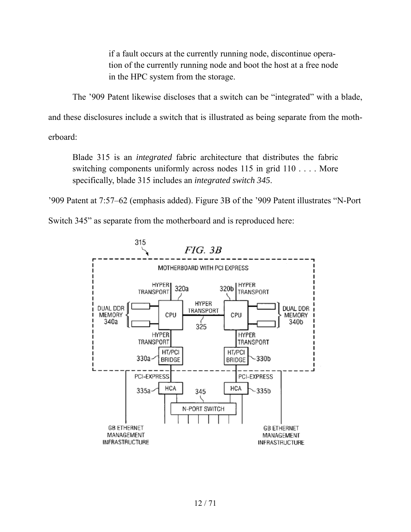if a fault occurs at the currently running node, discontinue operation of the currently running node and boot the host at a free node in the HPC system from the storage.

The '909 Patent likewise discloses that a switch can be "integrated" with a blade,

and these disclosures include a switch that is illustrated as being separate from the moth-

erboard:

Blade 315 is an *integrated* fabric architecture that distributes the fabric switching components uniformly across nodes 115 in grid 110 . . . . More specifically, blade 315 includes an *integrated switch 345*.

'909 Patent at 7:57–62 (emphasis added). Figure 3B of the '909 Patent illustrates "N-Port

Switch 345" as separate from the motherboard and is reproduced here:

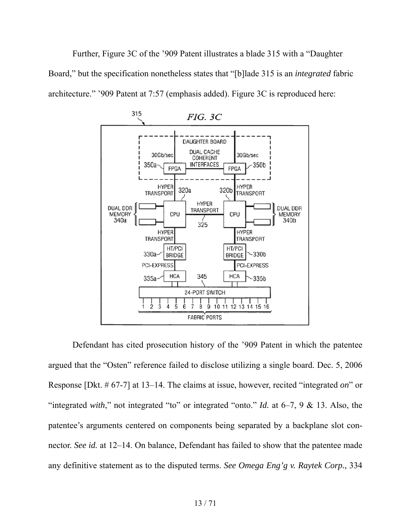Further, Figure 3C of the '909 Patent illustrates a blade 315 with a "Daughter Board," but the specification nonetheless states that "[b]lade 315 is an *integrated* fabric architecture." '909 Patent at 7:57 (emphasis added). Figure 3C is reproduced here:



Defendant has cited prosecution history of the '909 Patent in which the patentee argued that the "Osten" reference failed to disclose utilizing a single board. Dec. 5, 2006 Response [Dkt. # 67-7] at 13–14. The claims at issue, however, recited "integrated *on*" or "integrated *with*," not integrated "to" or integrated "onto." *Id.* at 6–7, 9 & 13. Also, the patentee's arguments centered on components being separated by a backplane slot connector. *See id.* at 12–14. On balance, Defendant has failed to show that the patentee made any definitive statement as to the disputed terms. *See Omega Eng'g v. Raytek Corp.*, 334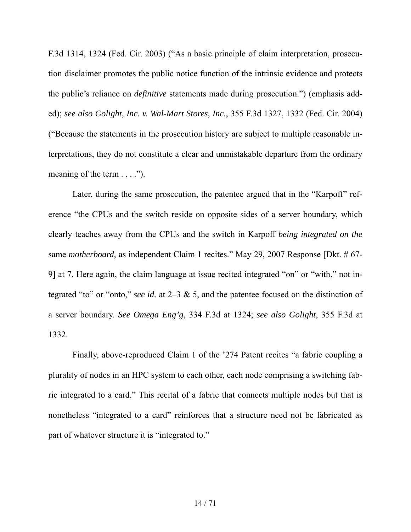F.3d 1314, 1324 (Fed. Cir. 2003) ("As a basic principle of claim interpretation, prosecution disclaimer promotes the public notice function of the intrinsic evidence and protects the public's reliance on *definitive* statements made during prosecution.") (emphasis added); *see also Golight, Inc. v. Wal-Mart Stores, Inc.*, 355 F.3d 1327, 1332 (Fed. Cir. 2004) ("Because the statements in the prosecution history are subject to multiple reasonable interpretations, they do not constitute a clear and unmistakable departure from the ordinary meaning of the term  $\dots$  .").

Later, during the same prosecution, the patentee argued that in the "Karpoff" reference "the CPUs and the switch reside on opposite sides of a server boundary, which clearly teaches away from the CPUs and the switch in Karpoff *being integrated on the*  same *motherboard*, as independent Claim 1 recites." May 29, 2007 Response [Dkt. # 67- 9] at 7. Here again, the claim language at issue recited integrated "on" or "with," not integrated "to" or "onto," *see id.* at 2–3 & 5, and the patentee focused on the distinction of a server boundary. *See Omega Eng'g*, 334 F.3d at 1324; *see also Golight*, 355 F.3d at 1332.

Finally, above-reproduced Claim 1 of the '274 Patent recites "a fabric coupling a plurality of nodes in an HPC system to each other, each node comprising a switching fabric integrated to a card." This recital of a fabric that connects multiple nodes but that is nonetheless "integrated to a card" reinforces that a structure need not be fabricated as part of whatever structure it is "integrated to."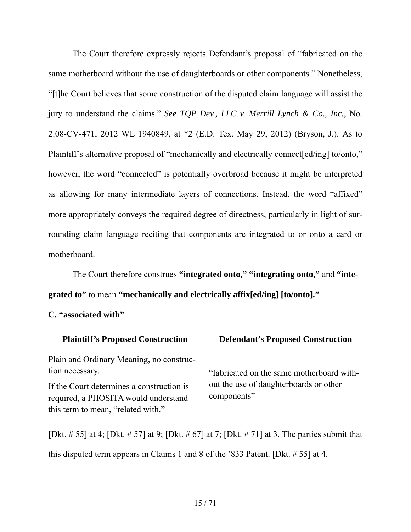The Court therefore expressly rejects Defendant's proposal of "fabricated on the same motherboard without the use of daughterboards or other components." Nonetheless, "[t]he Court believes that some construction of the disputed claim language will assist the jury to understand the claims." *See TQP Dev., LLC v. Merrill Lynch & Co., Inc.*, No. 2:08-CV-471, 2012 WL 1940849, at \*2 (E.D. Tex. May 29, 2012) (Bryson, J.). As to Plaintiff's alternative proposal of "mechanically and electrically connect[ed/ing] to/onto," however, the word "connected" is potentially overbroad because it might be interpreted as allowing for many intermediate layers of connections. Instead, the word "affixed" more appropriately conveys the required degree of directness, particularly in light of surrounding claim language reciting that components are integrated to or onto a card or motherboard.

The Court therefore construes **"integrated onto," "integrating onto,"** and **"integrated to"** to mean **"mechanically and electrically affix[ed/ing] [to/onto]."** 

## **C. "associated with"**

| <b>Plaintiff's Proposed Construction</b>                                                                                                                                               | <b>Defendant's Proposed Construction</b>                                                           |
|----------------------------------------------------------------------------------------------------------------------------------------------------------------------------------------|----------------------------------------------------------------------------------------------------|
| Plain and Ordinary Meaning, no construc-<br>tion necessary.<br>If the Court determines a construction is<br>required, a PHOSITA would understand<br>this term to mean, "related with." | "fabricated on the same motherboard with-<br>out the use of daughterboards or other<br>components" |

[Dkt. # 55] at 4; [Dkt. # 57] at 9; [Dkt. # 67] at 7; [Dkt. # 71] at 3. The parties submit that this disputed term appears in Claims 1 and 8 of the '833 Patent. [Dkt. # 55] at 4.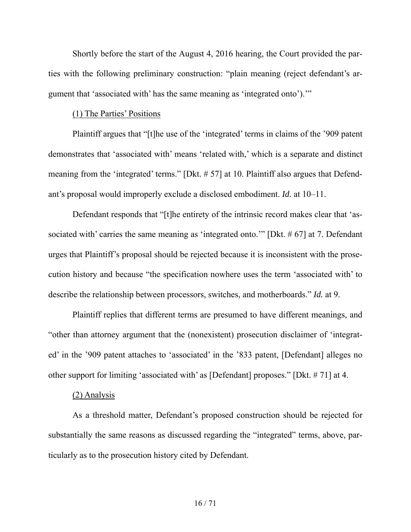Shortly before the start of the August 4, 2016 hearing, the Court provided the parties with the following preliminary construction: "plain meaning (reject defendant's argument that 'associated with' has the same meaning as 'integrated onto').'"

## (1) The Parties' Positions

Plaintiff argues that "[t]he use of the 'integrated' terms in claims of the '909 patent demonstrates that 'associated with' means 'related with,' which is a separate and distinct meaning from the 'integrated' terms." [Dkt. # 57] at 10. Plaintiff also argues that Defendant's proposal would improperly exclude a disclosed embodiment. *Id.* at 10–11.

Defendant responds that "[t]he entirety of the intrinsic record makes clear that 'associated with' carries the same meaning as 'integrated onto.'" [Dkt. # 67] at 7. Defendant urges that Plaintiff's proposal should be rejected because it is inconsistent with the prosecution history and because "the specification nowhere uses the term 'associated with' to describe the relationship between processors, switches, and motherboards." *Id.* at 9.

Plaintiff replies that different terms are presumed to have different meanings, and "other than attorney argument that the (nonexistent) prosecution disclaimer of 'integrated' in the '909 patent attaches to 'associated' in the '833 patent, [Defendant] alleges no other support for limiting 'associated with' as [Defendant] proposes." [Dkt. # 71] at 4.

#### (2) Analysis

As a threshold matter, Defendant's proposed construction should be rejected for substantially the same reasons as discussed regarding the "integrated" terms, above, particularly as to the prosecution history cited by Defendant.

#### 16 / 71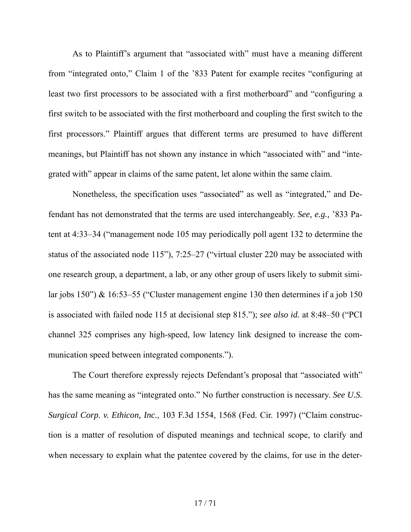As to Plaintiff's argument that "associated with" must have a meaning different from "integrated onto," Claim 1 of the '833 Patent for example recites "configuring at least two first processors to be associated with a first motherboard" and "configuring a first switch to be associated with the first motherboard and coupling the first switch to the first processors." Plaintiff argues that different terms are presumed to have different meanings, but Plaintiff has not shown any instance in which "associated with" and "integrated with" appear in claims of the same patent, let alone within the same claim.

Nonetheless, the specification uses "associated" as well as "integrated," and Defendant has not demonstrated that the terms are used interchangeably. *See, e.g.,* '833 Patent at 4:33–34 ("management node 105 may periodically poll agent 132 to determine the status of the associated node 115"), 7:25–27 ("virtual cluster 220 may be associated with one research group, a department, a lab, or any other group of users likely to submit similar jobs 150") & 16:53–55 ("Cluster management engine 130 then determines if a job 150 is associated with failed node 115 at decisional step 815."); *see also id.* at 8:48–50 ("PCI channel 325 comprises any high-speed, low latency link designed to increase the communication speed between integrated components.").

The Court therefore expressly rejects Defendant's proposal that "associated with" has the same meaning as "integrated onto." No further construction is necessary. *See U.S. Surgical Corp. v. Ethicon, Inc.*, 103 F.3d 1554, 1568 (Fed. Cir. 1997) ("Claim construction is a matter of resolution of disputed meanings and technical scope, to clarify and when necessary to explain what the patentee covered by the claims, for use in the deter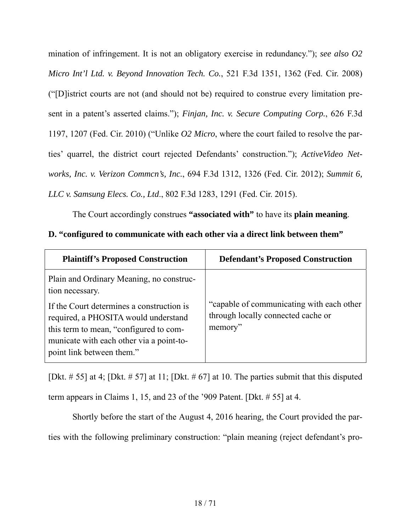mination of infringement. It is not an obligatory exercise in redundancy."); *see also O2 Micro Int'l Ltd. v. Beyond Innovation Tech. Co.*, 521 F.3d 1351, 1362 (Fed. Cir. 2008) ("[D]istrict courts are not (and should not be) required to construe every limitation present in a patent's asserted claims."); *Finjan, Inc. v. Secure Computing Corp.*, 626 F.3d 1197, 1207 (Fed. Cir. 2010) ("Unlike *O2 Micro*, where the court failed to resolve the parties' quarrel, the district court rejected Defendants' construction."); *ActiveVideo Networks, Inc. v. Verizon Commcn's, Inc.*, 694 F.3d 1312, 1326 (Fed. Cir. 2012); *Summit 6, LLC v. Samsung Elecs. Co., Ltd*., 802 F.3d 1283, 1291 (Fed. Cir. 2015).

The Court accordingly construes **"associated with"** to have its **plain meaning**.

# **D. "configured to communicate with each other via a direct link between them"**

| <b>Plaintiff's Proposed Construction</b>                                                                                                                                                             | <b>Defendant's Proposed Construction</b>                                                   |
|------------------------------------------------------------------------------------------------------------------------------------------------------------------------------------------------------|--------------------------------------------------------------------------------------------|
| Plain and Ordinary Meaning, no construc-<br>tion necessary.                                                                                                                                          |                                                                                            |
| If the Court determines a construction is<br>required, a PHOSITA would understand<br>this term to mean, "configured to com-<br>municate with each other via a point-to-<br>point link between them." | "capable of communicating with each other<br>through locally connected cache or<br>memory" |

[Dkt.  $\# 55$ ] at 4; [Dkt.  $\# 57$ ] at 11; [Dkt.  $\# 67$ ] at 10. The parties submit that this disputed term appears in Claims 1, 15, and 23 of the '909 Patent. [Dkt. # 55] at 4.

Shortly before the start of the August 4, 2016 hearing, the Court provided the parties with the following preliminary construction: "plain meaning (reject defendant's pro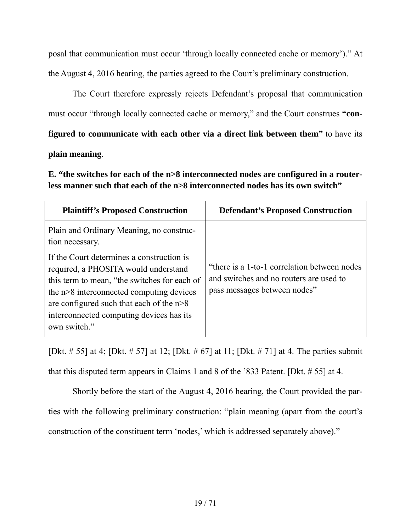posal that communication must occur 'through locally connected cache or memory')." At the August 4, 2016 hearing, the parties agreed to the Court's preliminary construction.

The Court therefore expressly rejects Defendant's proposal that communication must occur "through locally connected cache or memory," and the Court construes **"configured to communicate with each other via a direct link between them"** to have its

## **plain meaning**.

**E. "the switches for each of the n>8 interconnected nodes are configured in a routerless manner such that each of the n>8 interconnected nodes has its own switch"** 

| <b>Plaintiff's Proposed Construction</b>                                                                                                                                                                                                                                                | <b>Defendant's Proposed Construction</b>                                                                                 |
|-----------------------------------------------------------------------------------------------------------------------------------------------------------------------------------------------------------------------------------------------------------------------------------------|--------------------------------------------------------------------------------------------------------------------------|
| Plain and Ordinary Meaning, no construc-<br>tion necessary.                                                                                                                                                                                                                             |                                                                                                                          |
| If the Court determines a construction is<br>required, a PHOSITA would understand<br>this term to mean, "the switches for each of<br>the n>8 interconnected computing devices<br>are configured such that each of the $n>8$<br>interconnected computing devices has its<br>own switch." | "there is a 1-to-1 correlation between nodes"<br>and switches and no routers are used to<br>pass messages between nodes" |

[Dkt. # 55] at 4; [Dkt. # 57] at 12; [Dkt. # 67] at 11; [Dkt. # 71] at 4. The parties submit

that this disputed term appears in Claims 1 and 8 of the '833 Patent. [Dkt. # 55] at 4.

Shortly before the start of the August 4, 2016 hearing, the Court provided the parties with the following preliminary construction: "plain meaning (apart from the court's construction of the constituent term 'nodes,' which is addressed separately above)."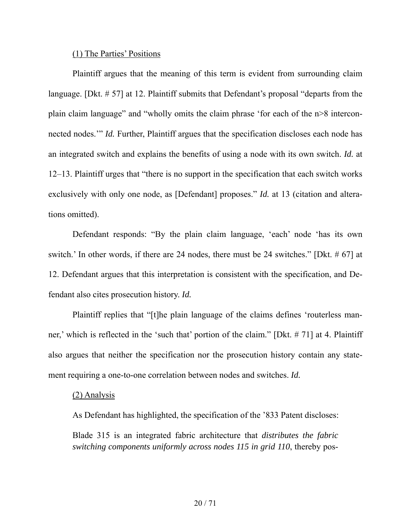#### (1) The Parties' Positions

Plaintiff argues that the meaning of this term is evident from surrounding claim language. [Dkt. # 57] at 12. Plaintiff submits that Defendant's proposal "departs from the plain claim language" and "wholly omits the claim phrase 'for each of the n>8 interconnected nodes." *Id.* Further, Plaintiff argues that the specification discloses each node has an integrated switch and explains the benefits of using a node with its own switch. *Id.* at 12–13. Plaintiff urges that "there is no support in the specification that each switch works exclusively with only one node, as [Defendant] proposes." *Id.* at 13 (citation and alterations omitted).

Defendant responds: "By the plain claim language, 'each' node 'has its own switch.' In other words, if there are 24 nodes, there must be 24 switches." [Dkt. # 67] at 12. Defendant argues that this interpretation is consistent with the specification, and Defendant also cites prosecution history. *Id.*

Plaintiff replies that "[t]he plain language of the claims defines 'routerless manner,' which is reflected in the 'such that' portion of the claim." [Dkt. # 71] at 4. Plaintiff also argues that neither the specification nor the prosecution history contain any statement requiring a one-to-one correlation between nodes and switches. *Id.*

#### (2) Analysis

As Defendant has highlighted, the specification of the '833 Patent discloses:

Blade 315 is an integrated fabric architecture that *distributes the fabric switching components uniformly across nodes 115 in grid 110*, thereby pos-

### 20 / 71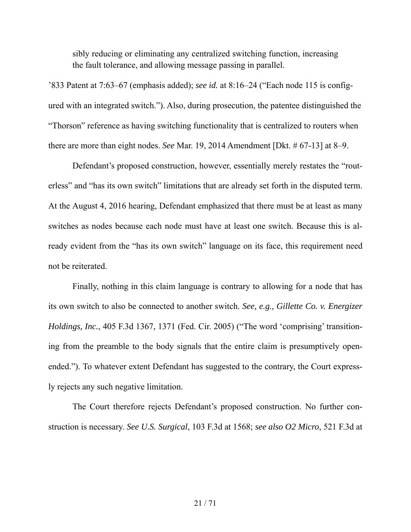sibly reducing or eliminating any centralized switching function, increasing the fault tolerance, and allowing message passing in parallel.

'833 Patent at 7:63–67 (emphasis added); *see id.* at 8:16–24 ("Each node 115 is configured with an integrated switch."). Also, during prosecution, the patentee distinguished the "Thorson" reference as having switching functionality that is centralized to routers when there are more than eight nodes. *See* Mar. 19, 2014 Amendment [Dkt. # 67-13] at 8–9.

Defendant's proposed construction, however, essentially merely restates the "routerless" and "has its own switch" limitations that are already set forth in the disputed term. At the August 4, 2016 hearing, Defendant emphasized that there must be at least as many switches as nodes because each node must have at least one switch. Because this is already evident from the "has its own switch" language on its face, this requirement need not be reiterated.

Finally, nothing in this claim language is contrary to allowing for a node that has its own switch to also be connected to another switch. *See, e.g., Gillette Co. v. Energizer Holdings, Inc.*, 405 F.3d 1367, 1371 (Fed. Cir. 2005) ("The word 'comprising' transitioning from the preamble to the body signals that the entire claim is presumptively openended."). To whatever extent Defendant has suggested to the contrary, the Court expressly rejects any such negative limitation.

The Court therefore rejects Defendant's proposed construction. No further construction is necessary. *See U.S. Surgical*, 103 F.3d at 1568; *see also O2 Micro*, 521 F.3d at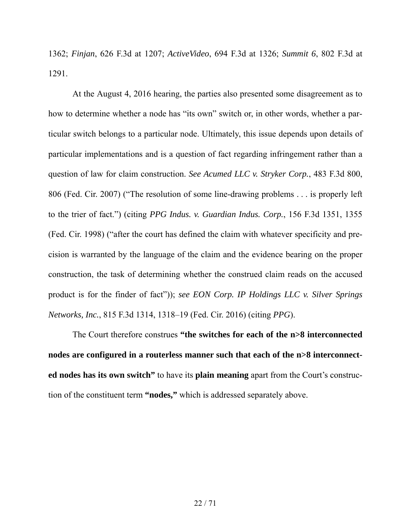1362; *Finjan*, 626 F.3d at 1207; *ActiveVideo*, 694 F.3d at 1326; *Summit 6*, 802 F.3d at 1291.

At the August 4, 2016 hearing, the parties also presented some disagreement as to how to determine whether a node has "its own" switch or, in other words, whether a particular switch belongs to a particular node. Ultimately, this issue depends upon details of particular implementations and is a question of fact regarding infringement rather than a question of law for claim construction. *See Acumed LLC v. Stryker Corp.*, 483 F.3d 800, 806 (Fed. Cir. 2007) ("The resolution of some line-drawing problems . . . is properly left to the trier of fact.") (citing *PPG Indus. v. Guardian Indus. Corp.*, 156 F.3d 1351, 1355 (Fed. Cir. 1998) ("after the court has defined the claim with whatever specificity and precision is warranted by the language of the claim and the evidence bearing on the proper construction, the task of determining whether the construed claim reads on the accused product is for the finder of fact")); *see EON Corp. IP Holdings LLC v. Silver Springs Networks, Inc.*, 815 F.3d 1314, 1318–19 (Fed. Cir. 2016) (citing *PPG*).

The Court therefore construes **"the switches for each of the n>8 interconnected nodes are configured in a routerless manner such that each of the n>8 interconnected nodes has its own switch"** to have its **plain meaning** apart from the Court's construction of the constituent term **"nodes,"** which is addressed separately above.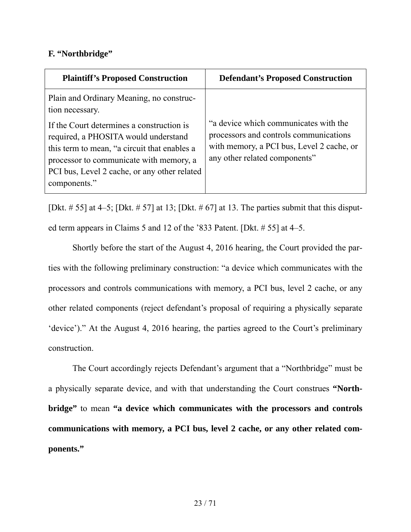## **F. "Northbridge"**

| <b>Plaintiff's Proposed Construction</b>                                                                                                                                                                                                     | <b>Defendant's Proposed Construction</b>                                                                                                                      |
|----------------------------------------------------------------------------------------------------------------------------------------------------------------------------------------------------------------------------------------------|---------------------------------------------------------------------------------------------------------------------------------------------------------------|
| Plain and Ordinary Meaning, no construc-<br>tion necessary.                                                                                                                                                                                  |                                                                                                                                                               |
| If the Court determines a construction is<br>required, a PHOSITA would understand<br>this term to mean, "a circuit that enables a<br>processor to communicate with memory, a<br>PCI bus, Level 2 cache, or any other related<br>components." | "a device which communicates with the<br>processors and controls communications<br>with memory, a PCI bus, Level 2 cache, or<br>any other related components" |

[Dkt.  $\# 55$ ] at 4–5; [Dkt.  $\# 57$ ] at 13; [Dkt.  $\# 67$ ] at 13. The parties submit that this disputed term appears in Claims 5 and 12 of the '833 Patent. [Dkt. # 55] at 4–5.

Shortly before the start of the August 4, 2016 hearing, the Court provided the parties with the following preliminary construction: "a device which communicates with the processors and controls communications with memory, a PCI bus, level 2 cache, or any other related components (reject defendant's proposal of requiring a physically separate 'device')." At the August 4, 2016 hearing, the parties agreed to the Court's preliminary construction.

The Court accordingly rejects Defendant's argument that a "Northbridge" must be a physically separate device, and with that understanding the Court construes **"Northbridge"** to mean **"a device which communicates with the processors and controls communications with memory, a PCI bus, level 2 cache, or any other related components."**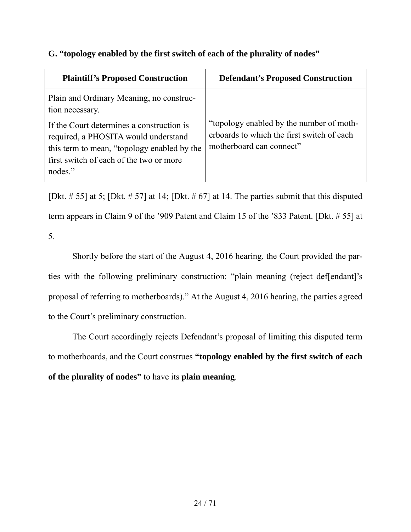# **G. "topology enabled by the first switch of each of the plurality of nodes"**

| <b>Plaintiff's Proposed Construction</b>                                                                                                                                               | <b>Defendant's Proposed Construction</b>                                                                           |
|----------------------------------------------------------------------------------------------------------------------------------------------------------------------------------------|--------------------------------------------------------------------------------------------------------------------|
| Plain and Ordinary Meaning, no construc-<br>tion necessary.                                                                                                                            |                                                                                                                    |
| If the Court determines a construction is<br>required, a PHOSITA would understand<br>this term to mean, "topology enabled by the<br>first switch of each of the two or more<br>nodes." | "topology enabled by the number of moth-<br>erboards to which the first switch of each<br>motherboard can connect" |

[Dkt.  $\# 55$ ] at 5; [Dkt.  $\# 57$ ] at 14; [Dkt.  $\# 67$ ] at 14. The parties submit that this disputed term appears in Claim 9 of the '909 Patent and Claim 15 of the '833 Patent. [Dkt. # 55] at 5.

Shortly before the start of the August 4, 2016 hearing, the Court provided the parties with the following preliminary construction: "plain meaning (reject def[endant]'s proposal of referring to motherboards)." At the August 4, 2016 hearing, the parties agreed to the Court's preliminary construction.

The Court accordingly rejects Defendant's proposal of limiting this disputed term to motherboards, and the Court construes **"topology enabled by the first switch of each of the plurality of nodes"** to have its **plain meaning**.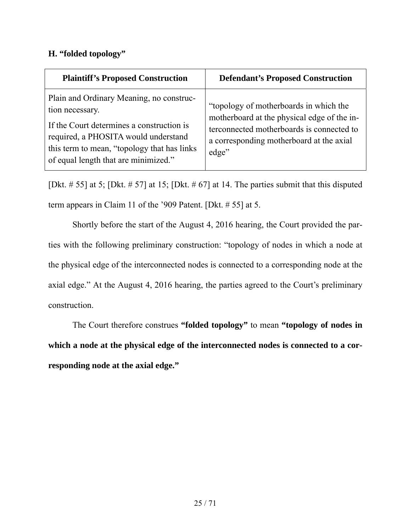# **H. "folded topology"**

| <b>Plaintiff's Proposed Construction</b>                                                                                                                                                                                                 | <b>Defendant's Proposed Construction</b>                                                                                                                                                |
|------------------------------------------------------------------------------------------------------------------------------------------------------------------------------------------------------------------------------------------|-----------------------------------------------------------------------------------------------------------------------------------------------------------------------------------------|
| Plain and Ordinary Meaning, no construc-<br>tion necessary.<br>If the Court determines a construction is<br>required, a PHOSITA would understand<br>this term to mean, "topology that has links"<br>of equal length that are minimized." | "topology of motherboards in which the<br>motherboard at the physical edge of the in-<br>terconnected motherboards is connected to<br>a corresponding motherboard at the axial<br>edge" |

[Dkt.  $\# 55$ ] at 5; [Dkt.  $\# 57$ ] at 15; [Dkt.  $\# 67$ ] at 14. The parties submit that this disputed term appears in Claim 11 of the '909 Patent. [Dkt. # 55] at 5.

Shortly before the start of the August 4, 2016 hearing, the Court provided the parties with the following preliminary construction: "topology of nodes in which a node at the physical edge of the interconnected nodes is connected to a corresponding node at the axial edge." At the August 4, 2016 hearing, the parties agreed to the Court's preliminary construction.

The Court therefore construes **"folded topology"** to mean **"topology of nodes in which a node at the physical edge of the interconnected nodes is connected to a corresponding node at the axial edge."**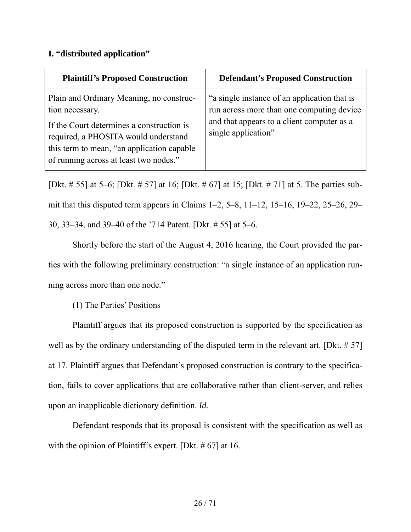# **I. "distributed application"**

| <b>Plaintiff's Proposed Construction</b>                                                                                                                                                                                                  | <b>Defendant's Proposed Construction</b>                                                                                                                       |
|-------------------------------------------------------------------------------------------------------------------------------------------------------------------------------------------------------------------------------------------|----------------------------------------------------------------------------------------------------------------------------------------------------------------|
| Plain and Ordinary Meaning, no construc-<br>tion necessary.<br>If the Court determines a construction is<br>required, a PHOSITA would understand<br>this term to mean, "an application capable"<br>of running across at least two nodes." | "a single instance of an application that is<br>run across more than one computing device<br>and that appears to a client computer as a<br>single application" |

[Dkt. # 55] at 5–6; [Dkt. # 57] at 16; [Dkt. # 67] at 15; [Dkt. # 71] at 5. The parties submit that this disputed term appears in Claims 1–2, 5–8, 11–12, 15–16, 19–22, 25–26, 29– 30, 33–34, and 39–40 of the '714 Patent. [Dkt. # 55] at 5–6.

Shortly before the start of the August 4, 2016 hearing, the Court provided the parties with the following preliminary construction: "a single instance of an application running across more than one node."

# (1) The Parties' Positions

Plaintiff argues that its proposed construction is supported by the specification as well as by the ordinary understanding of the disputed term in the relevant art. [Dkt. # 57] at 17. Plaintiff argues that Defendant's proposed construction is contrary to the specification, fails to cover applications that are collaborative rather than client-server, and relies upon an inapplicable dictionary definition. *Id.*

Defendant responds that its proposal is consistent with the specification as well as with the opinion of Plaintiff's expert. [Dkt. # 67] at 16.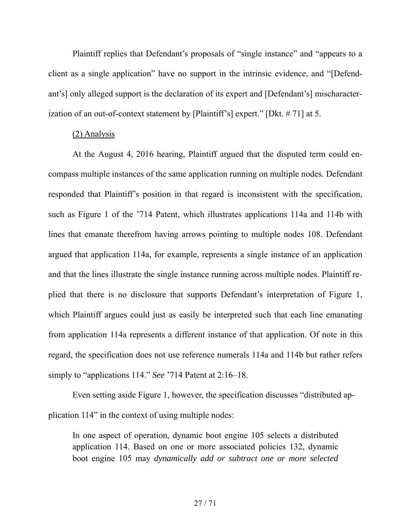Plaintiff replies that Defendant's proposals of "single instance" and "appears to a client as a single application" have no support in the intrinsic evidence, and "[Defendant's] only alleged support is the declaration of its expert and [Defendant's] mischaracterization of an out-of-context statement by [Plaintiff's] expert." [Dkt. # 71] at 5.

#### (2) Analysis

At the August 4, 2016 hearing, Plaintiff argued that the disputed term could encompass multiple instances of the same application running on multiple nodes. Defendant responded that Plaintiff's position in that regard is inconsistent with the specification, such as Figure 1 of the '714 Patent, which illustrates applications 114a and 114b with lines that emanate therefrom having arrows pointing to multiple nodes 108. Defendant argued that application 114a, for example, represents a single instance of an application and that the lines illustrate the single instance running across multiple nodes. Plaintiff replied that there is no disclosure that supports Defendant's interpretation of Figure 1, which Plaintiff argues could just as easily be interpreted such that each line emanating from application 114a represents a different instance of that application. Of note in this regard, the specification does not use reference numerals 114a and 114b but rather refers simply to "applications 114." *See* '714 Patent at 2:16–18.

Even setting aside Figure 1, however, the specification discusses "distributed application 114" in the context of using multiple nodes:

In one aspect of operation, dynamic boot engine 105 selects a distributed application 114. Based on one or more associated policies 132, dynamic boot engine 105 may *dynamically add or subtract one or more selected*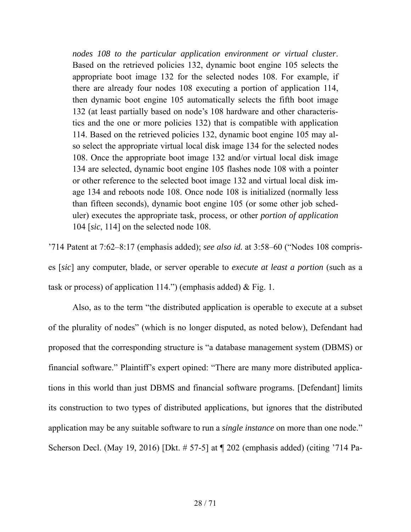*nodes 108 to the particular application environment or virtual cluster*. Based on the retrieved policies 132, dynamic boot engine 105 selects the appropriate boot image 132 for the selected nodes 108. For example, if there are already four nodes 108 executing a portion of application 114, then dynamic boot engine 105 automatically selects the fifth boot image 132 (at least partially based on node's 108 hardware and other characteristics and the one or more policies 132) that is compatible with application 114. Based on the retrieved policies 132, dynamic boot engine 105 may also select the appropriate virtual local disk image 134 for the selected nodes 108. Once the appropriate boot image 132 and/or virtual local disk image 134 are selected, dynamic boot engine 105 flashes node 108 with a pointer or other reference to the selected boot image 132 and virtual local disk image 134 and reboots node 108. Once node 108 is initialized (normally less than fifteen seconds), dynamic boot engine 105 (or some other job scheduler) executes the appropriate task, process, or other *portion of application* 104 [*sic*, 114] on the selected node 108.

'714 Patent at 7:62–8:17 (emphasis added); *see also id.* at 3:58–60 ("Nodes 108 comprises [*sic*] any computer, blade, or server operable to *execute at least a portion* (such as a task or process) of application 114." (emphasis added)  $&$  Fig. 1.

Also, as to the term "the distributed application is operable to execute at a subset of the plurality of nodes" (which is no longer disputed, as noted below), Defendant had proposed that the corresponding structure is "a database management system (DBMS) or financial software." Plaintiff's expert opined: "There are many more distributed applications in this world than just DBMS and financial software programs. [Defendant] limits its construction to two types of distributed applications, but ignores that the distributed application may be any suitable software to run a *single instance* on more than one node." Scherson Decl. (May 19, 2016) [Dkt. # 57-5] at ¶ 202 (emphasis added) (citing '714 Pa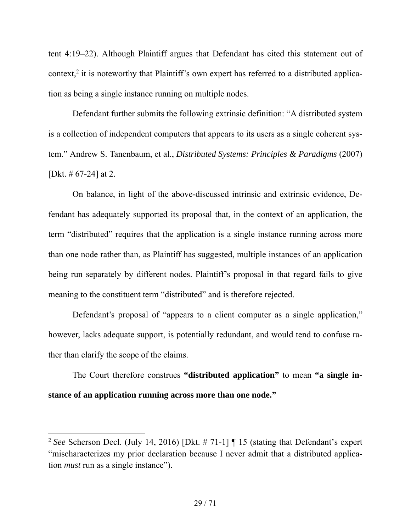tent 4:19–22). Although Plaintiff argues that Defendant has cited this statement out of context,<sup>2</sup> it is noteworthy that Plaintiff's own expert has referred to a distributed application as being a single instance running on multiple nodes.

Defendant further submits the following extrinsic definition: "A distributed system is a collection of independent computers that appears to its users as a single coherent system." Andrew S. Tanenbaum, et al., *Distributed Systems: Principles & Paradigms* (2007) [Dkt.  $\#$  67-24] at 2.

On balance, in light of the above-discussed intrinsic and extrinsic evidence, Defendant has adequately supported its proposal that, in the context of an application, the term "distributed" requires that the application is a single instance running across more than one node rather than, as Plaintiff has suggested, multiple instances of an application being run separately by different nodes. Plaintiff's proposal in that regard fails to give meaning to the constituent term "distributed" and is therefore rejected.

Defendant's proposal of "appears to a client computer as a single application," however, lacks adequate support, is potentially redundant, and would tend to confuse rather than clarify the scope of the claims.

The Court therefore construes **"distributed application"** to mean **"a single instance of an application running across more than one node."** 

<u>.</u>

<sup>2</sup> *See* Scherson Decl. (July 14, 2016) [Dkt. # 71-1] ¶ 15 (stating that Defendant's expert "mischaracterizes my prior declaration because I never admit that a distributed application *must* run as a single instance").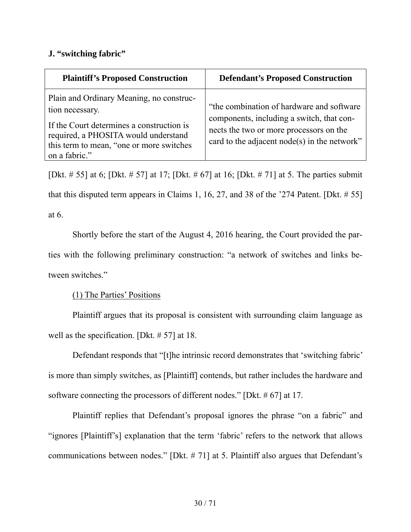# **J. "switching fabric"**

| <b>Plaintiff's Proposed Construction</b>                                                                                                                                                                      | <b>Defendant's Proposed Construction</b>                                                                                                                                           |
|---------------------------------------------------------------------------------------------------------------------------------------------------------------------------------------------------------------|------------------------------------------------------------------------------------------------------------------------------------------------------------------------------------|
| Plain and Ordinary Meaning, no construc-<br>tion necessary.<br>If the Court determines a construction is<br>required, a PHOSITA would understand<br>this term to mean, "one or more switches<br>on a fabric." | "the combination of hardware and software"<br>components, including a switch, that con-<br>nects the two or more processors on the<br>card to the adjacent node(s) in the network" |

[Dkt. # 55] at 6; [Dkt. # 57] at 17; [Dkt. # 67] at 16; [Dkt. # 71] at 5. The parties submit that this disputed term appears in Claims 1, 16, 27, and 38 of the '274 Patent. [Dkt.  $\# 55$ ] at 6.

Shortly before the start of the August 4, 2016 hearing, the Court provided the parties with the following preliminary construction: "a network of switches and links between switches."

(1) The Parties' Positions

Plaintiff argues that its proposal is consistent with surrounding claim language as well as the specification. [Dkt. # 57] at 18.

Defendant responds that "[t]he intrinsic record demonstrates that 'switching fabric' is more than simply switches, as [Plaintiff] contends, but rather includes the hardware and software connecting the processors of different nodes." [Dkt. # 67] at 17.

Plaintiff replies that Defendant's proposal ignores the phrase "on a fabric" and "ignores [Plaintiff's] explanation that the term 'fabric' refers to the network that allows communications between nodes." [Dkt. # 71] at 5. Plaintiff also argues that Defendant's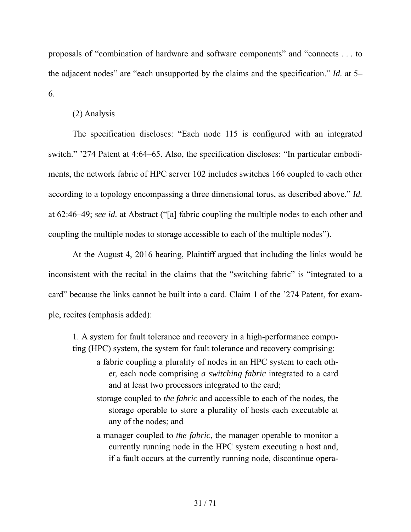proposals of "combination of hardware and software components" and "connects . . . to the adjacent nodes" are "each unsupported by the claims and the specification." *Id.* at 5– 6.

## (2) Analysis

The specification discloses: "Each node 115 is configured with an integrated switch." '274 Patent at 4:64–65. Also, the specification discloses: "In particular embodiments, the network fabric of HPC server 102 includes switches 166 coupled to each other according to a topology encompassing a three dimensional torus, as described above." *Id.* at 62:46–49; *see id.* at Abstract ("[a] fabric coupling the multiple nodes to each other and coupling the multiple nodes to storage accessible to each of the multiple nodes").

At the August 4, 2016 hearing, Plaintiff argued that including the links would be inconsistent with the recital in the claims that the "switching fabric" is "integrated to a card" because the links cannot be built into a card. Claim 1 of the '274 Patent, for example, recites (emphasis added):

1. A system for fault tolerance and recovery in a high-performance computing (HPC) system, the system for fault tolerance and recovery comprising:

- a fabric coupling a plurality of nodes in an HPC system to each other, each node comprising *a switching fabric* integrated to a card and at least two processors integrated to the card;
- storage coupled to *the fabric* and accessible to each of the nodes, the storage operable to store a plurality of hosts each executable at any of the nodes; and
- a manager coupled to *the fabric*, the manager operable to monitor a currently running node in the HPC system executing a host and, if a fault occurs at the currently running node, discontinue opera-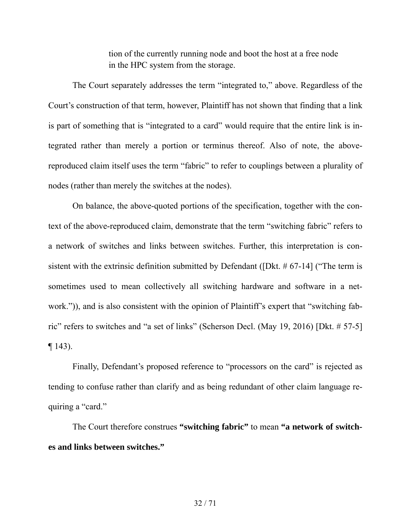tion of the currently running node and boot the host at a free node in the HPC system from the storage.

The Court separately addresses the term "integrated to," above. Regardless of the Court's construction of that term, however, Plaintiff has not shown that finding that a link is part of something that is "integrated to a card" would require that the entire link is integrated rather than merely a portion or terminus thereof. Also of note, the abovereproduced claim itself uses the term "fabric" to refer to couplings between a plurality of nodes (rather than merely the switches at the nodes).

On balance, the above-quoted portions of the specification, together with the context of the above-reproduced claim, demonstrate that the term "switching fabric" refers to a network of switches and links between switches. Further, this interpretation is consistent with the extrinsic definition submitted by Defendant ([Dkt. # 67-14] ("The term is sometimes used to mean collectively all switching hardware and software in a network.")), and is also consistent with the opinion of Plaintiff's expert that "switching fabric" refers to switches and "a set of links" (Scherson Decl. (May 19, 2016) [Dkt. # 57-5]  $\P$  143).

Finally, Defendant's proposed reference to "processors on the card" is rejected as tending to confuse rather than clarify and as being redundant of other claim language requiring a "card."

The Court therefore construes **"switching fabric"** to mean **"a network of switches and links between switches."**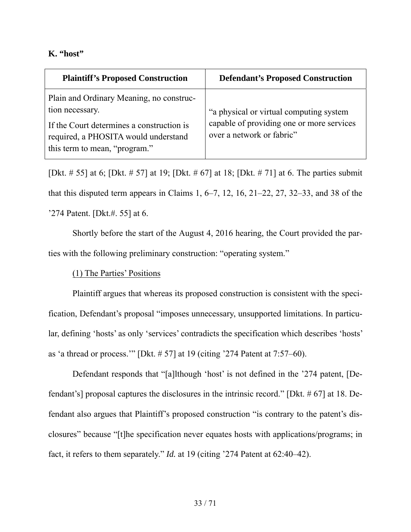## **K. "host"**

| <b>Plaintiff's Proposed Construction</b>                                                                           | <b>Defendant's Proposed Construction</b>                               |
|--------------------------------------------------------------------------------------------------------------------|------------------------------------------------------------------------|
| Plain and Ordinary Meaning, no construc-<br>tion necessary.                                                        | "a physical or virtual computing system                                |
| If the Court determines a construction is<br>required, a PHOSITA would understand<br>this term to mean, "program." | capable of providing one or more services<br>over a network or fabric" |

[Dkt. # 55] at 6; [Dkt. # 57] at 19; [Dkt. # 67] at 18; [Dkt. # 71] at 6. The parties submit that this disputed term appears in Claims 1,  $6-7$ , 12, 16,  $21-22$ , 27,  $32-33$ , and 38 of the '274 Patent. [Dkt.#. 55] at 6.

Shortly before the start of the August 4, 2016 hearing, the Court provided the parties with the following preliminary construction: "operating system."

(1) The Parties' Positions

Plaintiff argues that whereas its proposed construction is consistent with the specification, Defendant's proposal "imposes unnecessary, unsupported limitations. In particular, defining 'hosts' as only 'services' contradicts the specification which describes 'hosts' as 'a thread or process.'" [Dkt. # 57] at 19 (citing '274 Patent at 7:57–60).

Defendant responds that "[a]lthough 'host' is not defined in the '274 patent, [Defendant's] proposal captures the disclosures in the intrinsic record." [Dkt. # 67] at 18. Defendant also argues that Plaintiff's proposed construction "is contrary to the patent's disclosures" because "[t]he specification never equates hosts with applications/programs; in fact, it refers to them separately." *Id.* at 19 (citing '274 Patent at 62:40–42).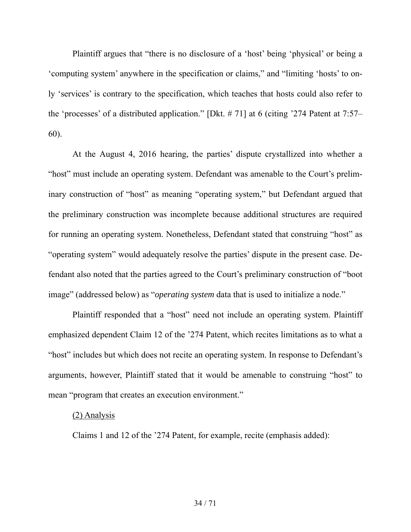Plaintiff argues that "there is no disclosure of a 'host' being 'physical' or being a 'computing system' anywhere in the specification or claims," and "limiting 'hosts' to only 'services' is contrary to the specification, which teaches that hosts could also refer to the 'processes' of a distributed application." [Dkt. # 71] at 6 (citing '274 Patent at 7:57– 60).

At the August 4, 2016 hearing, the parties' dispute crystallized into whether a "host" must include an operating system. Defendant was amenable to the Court's preliminary construction of "host" as meaning "operating system," but Defendant argued that the preliminary construction was incomplete because additional structures are required for running an operating system. Nonetheless, Defendant stated that construing "host" as "operating system" would adequately resolve the parties' dispute in the present case. Defendant also noted that the parties agreed to the Court's preliminary construction of "boot image" (addressed below) as "*operating system* data that is used to initialize a node."

Plaintiff responded that a "host" need not include an operating system. Plaintiff emphasized dependent Claim 12 of the '274 Patent, which recites limitations as to what a "host" includes but which does not recite an operating system. In response to Defendant's arguments, however, Plaintiff stated that it would be amenable to construing "host" to mean "program that creates an execution environment."

#### (2) Analysis

Claims 1 and 12 of the '274 Patent, for example, recite (emphasis added):

### 34 / 71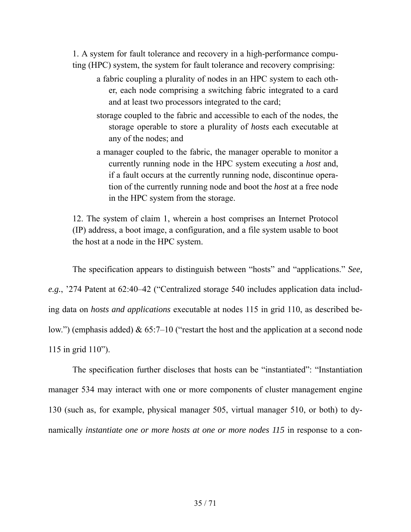1. A system for fault tolerance and recovery in a high-performance computing (HPC) system, the system for fault tolerance and recovery comprising:

- a fabric coupling a plurality of nodes in an HPC system to each other, each node comprising a switching fabric integrated to a card and at least two processors integrated to the card;
- storage coupled to the fabric and accessible to each of the nodes, the storage operable to store a plurality of *hosts* each executable at any of the nodes; and
- a manager coupled to the fabric, the manager operable to monitor a currently running node in the HPC system executing a *host* and, if a fault occurs at the currently running node, discontinue operation of the currently running node and boot the *host* at a free node in the HPC system from the storage.

12. The system of claim 1, wherein a host comprises an Internet Protocol (IP) address, a boot image, a configuration, and a file system usable to boot the host at a node in the HPC system.

The specification appears to distinguish between "hosts" and "applications." *See, e.g.*, '274 Patent at 62:40–42 ("Centralized storage 540 includes application data including data on *hosts and applications* executable at nodes 115 in grid 110, as described below.") (emphasis added) & 65:7–10 ("restart the host and the application at a second node 115 in grid 110").

The specification further discloses that hosts can be "instantiated": "Instantiation manager 534 may interact with one or more components of cluster management engine 130 (such as, for example, physical manager 505, virtual manager 510, or both) to dynamically *instantiate one or more hosts at one or more nodes 115* in response to a con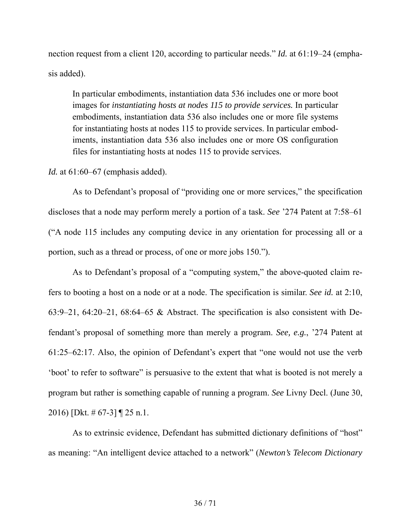nection request from a client 120, according to particular needs." *Id.* at 61:19–24 (emphasis added).

In particular embodiments, instantiation data 536 includes one or more boot images for *instantiating hosts at nodes 115 to provide services.* In particular embodiments, instantiation data 536 also includes one or more file systems for instantiating hosts at nodes 115 to provide services. In particular embodiments, instantiation data 536 also includes one or more OS configuration files for instantiating hosts at nodes 115 to provide services.

#### *Id.* at 61:60–67 (emphasis added).

As to Defendant's proposal of "providing one or more services," the specification discloses that a node may perform merely a portion of a task. *See* '274 Patent at 7:58–61 ("A node 115 includes any computing device in any orientation for processing all or a portion, such as a thread or process, of one or more jobs 150.").

As to Defendant's proposal of a "computing system," the above-quoted claim refers to booting a host on a node or at a node. The specification is similar. *See id.* at 2:10, 63:9–21, 64:20–21, 68:64–65 & Abstract. The specification is also consistent with Defendant's proposal of something more than merely a program. *See, e.g.*, '274 Patent at 61:25–62:17. Also, the opinion of Defendant's expert that "one would not use the verb 'boot' to refer to software" is persuasive to the extent that what is booted is not merely a program but rather is something capable of running a program. *See* Livny Decl. (June 30, 2016) [Dkt. # 67-3] ¶ 25 n.1.

As to extrinsic evidence, Defendant has submitted dictionary definitions of "host" as meaning: "An intelligent device attached to a network" (*Newton's Telecom Dictionary*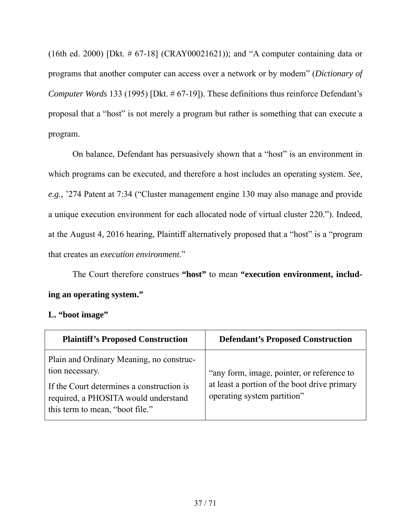(16th ed. 2000) [Dkt. # 67-18] (CRAY00021621)); and "A computer containing data or programs that another computer can access over a network or by modem" (*Dictionary of Computer Words* 133 (1995) [Dkt. # 67-19]). These definitions thus reinforce Defendant's proposal that a "host" is not merely a program but rather is something that can execute a program.

On balance, Defendant has persuasively shown that a "host" is an environment in which programs can be executed, and therefore a host includes an operating system. *See, e.g.,* '274 Patent at 7:34 ("Cluster management engine 130 may also manage and provide a unique execution environment for each allocated node of virtual cluster 220."). Indeed, at the August 4, 2016 hearing, Plaintiff alternatively proposed that a "host" is a "program that creates an *execution environment*."

The Court therefore construes **"host"** to mean **"execution environment, including an operating system."** 

# **L. "boot image"**

| <b>Plaintiff's Proposed Construction</b>                                                                                                                                            | <b>Defendant's Proposed Construction</b>                                                                                  |
|-------------------------------------------------------------------------------------------------------------------------------------------------------------------------------------|---------------------------------------------------------------------------------------------------------------------------|
| Plain and Ordinary Meaning, no construc-<br>tion necessary.<br>If the Court determines a construction is<br>required, a PHOSITA would understand<br>this term to mean, "boot file." | "any form, image, pointer, or reference to<br>at least a portion of the boot drive primary<br>operating system partition" |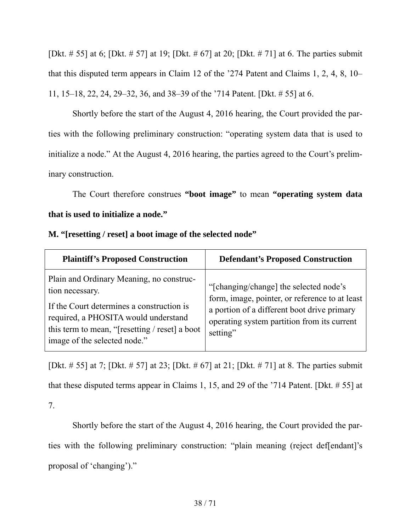[Dkt. # 55] at 6; [Dkt. # 57] at 19; [Dkt. # 67] at 20; [Dkt. # 71] at 6. The parties submit that this disputed term appears in Claim 12 of the '274 Patent and Claims 1, 2, 4, 8, 10– 11, 15–18, 22, 24, 29–32, 36, and 38–39 of the '714 Patent. [Dkt. # 55] at 6.

Shortly before the start of the August 4, 2016 hearing, the Court provided the parties with the following preliminary construction: "operating system data that is used to initialize a node." At the August 4, 2016 hearing, the parties agreed to the Court's preliminary construction.

The Court therefore construes **"boot image"** to mean **"operating system data that is used to initialize a node."** 

| M. "[resetting / reset] a boot image of the selected node" |  |  |  |  |  |
|------------------------------------------------------------|--|--|--|--|--|
|------------------------------------------------------------|--|--|--|--|--|

| <b>Plaintiff's Proposed Construction</b>                                                                                                                                                                                           | <b>Defendant's Proposed Construction</b>                                                                                                                                                           |
|------------------------------------------------------------------------------------------------------------------------------------------------------------------------------------------------------------------------------------|----------------------------------------------------------------------------------------------------------------------------------------------------------------------------------------------------|
| Plain and Ordinary Meaning, no construc-<br>tion necessary.<br>If the Court determines a construction is<br>required, a PHOSITA would understand<br>this term to mean, "[resetting / reset] a boot<br>image of the selected node." | "[changing/change] the selected node's<br>form, image, pointer, or reference to at least<br>a portion of a different boot drive primary<br>operating system partition from its current<br>setting" |

[Dkt. # 55] at 7; [Dkt. # 57] at 23; [Dkt. # 67] at 21; [Dkt. # 71] at 8. The parties submit that these disputed terms appear in Claims 1, 15, and 29 of the '714 Patent. [Dkt. # 55] at 7.

Shortly before the start of the August 4, 2016 hearing, the Court provided the parties with the following preliminary construction: "plain meaning (reject def[endant]'s proposal of 'changing')."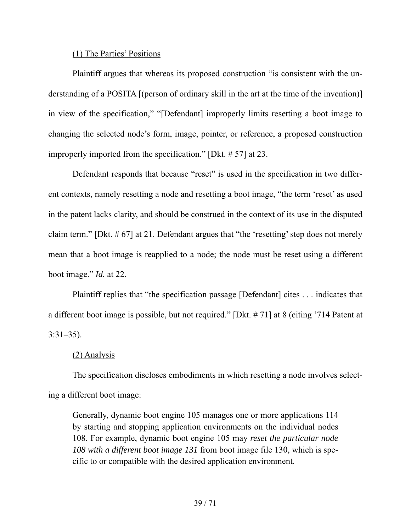### (1) The Parties' Positions

Plaintiff argues that whereas its proposed construction "is consistent with the understanding of a POSITA [(person of ordinary skill in the art at the time of the invention)] in view of the specification," "[Defendant] improperly limits resetting a boot image to changing the selected node's form, image, pointer, or reference, a proposed construction improperly imported from the specification." [Dkt. # 57] at 23.

Defendant responds that because "reset" is used in the specification in two different contexts, namely resetting a node and resetting a boot image, "the term 'reset' as used in the patent lacks clarity, and should be construed in the context of its use in the disputed claim term." [Dkt. # 67] at 21. Defendant argues that "the 'resetting' step does not merely mean that a boot image is reapplied to a node; the node must be reset using a different boot image." *Id.* at 22.

Plaintiff replies that "the specification passage [Defendant] cites . . . indicates that a different boot image is possible, but not required." [Dkt. # 71] at 8 (citing '714 Patent at 3:31–35).

## (2) Analysis

The specification discloses embodiments in which resetting a node involves selecting a different boot image:

Generally, dynamic boot engine 105 manages one or more applications 114 by starting and stopping application environments on the individual nodes 108. For example, dynamic boot engine 105 may *reset the particular node 108 with a different boot image 131* from boot image file 130, which is specific to or compatible with the desired application environment.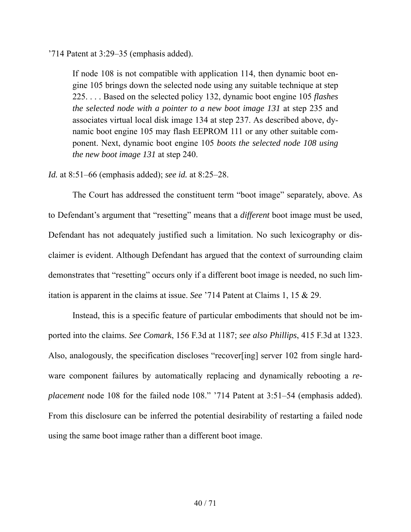'714 Patent at 3:29–35 (emphasis added).

If node 108 is not compatible with application 114, then dynamic boot engine 105 brings down the selected node using any suitable technique at step 225. . . . Based on the selected policy 132, dynamic boot engine 105 *flashes the selected node with a pointer to a new boot image 131* at step 235 and associates virtual local disk image 134 at step 237. As described above, dynamic boot engine 105 may flash EEPROM 111 or any other suitable component. Next, dynamic boot engine 105 *boots the selected node 108 using the new boot image 131* at step 240.

*Id.* at 8:51–66 (emphasis added); *see id.* at 8:25–28.

The Court has addressed the constituent term "boot image" separately, above. As to Defendant's argument that "resetting" means that a *different* boot image must be used, Defendant has not adequately justified such a limitation. No such lexicography or disclaimer is evident. Although Defendant has argued that the context of surrounding claim demonstrates that "resetting" occurs only if a different boot image is needed, no such limitation is apparent in the claims at issue. *See* '714 Patent at Claims 1, 15 & 29.

Instead, this is a specific feature of particular embodiments that should not be imported into the claims. *See Comark*, 156 F.3d at 1187; *see also Phillips*, 415 F.3d at 1323. Also, analogously, the specification discloses "recover[ing] server 102 from single hardware component failures by automatically replacing and dynamically rebooting a *replacement* node 108 for the failed node 108." '714 Patent at 3:51–54 (emphasis added). From this disclosure can be inferred the potential desirability of restarting a failed node using the same boot image rather than a different boot image.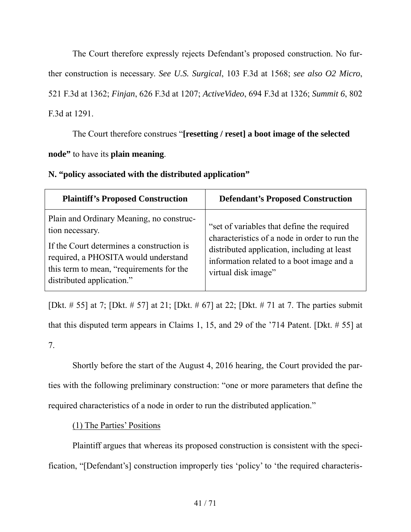The Court therefore expressly rejects Defendant's proposed construction. No further construction is necessary. *See U.S. Surgical*, 103 F.3d at 1568; *see also O2 Micro*, 521 F.3d at 1362; *Finjan*, 626 F.3d at 1207; *ActiveVideo*, 694 F.3d at 1326; *Summit 6*, 802 F.3d at 1291.

The Court therefore construes "**[resetting / reset] a boot image of the selected node"** to have its **plain meaning**.

**N. "policy associated with the distributed application"** 

| <b>Plaintiff's Proposed Construction</b>                                                                                                                                                                                  | <b>Defendant's Proposed Construction</b>                                                                                                                                                                       |
|---------------------------------------------------------------------------------------------------------------------------------------------------------------------------------------------------------------------------|----------------------------------------------------------------------------------------------------------------------------------------------------------------------------------------------------------------|
| Plain and Ordinary Meaning, no construc-<br>tion necessary.<br>If the Court determines a construction is<br>required, a PHOSITA would understand<br>this term to mean, "requirements for the<br>distributed application." | "set of variables that define the required<br>characteristics of a node in order to run the<br>distributed application, including at least<br>information related to a boot image and a<br>virtual disk image" |

[Dkt. # 55] at 7; [Dkt. # 57] at 21; [Dkt. # 67] at 22; [Dkt. # 71 at 7. The parties submit that this disputed term appears in Claims 1, 15, and 29 of the '714 Patent. [Dkt. # 55] at 7.

Shortly before the start of the August 4, 2016 hearing, the Court provided the parties with the following preliminary construction: "one or more parameters that define the required characteristics of a node in order to run the distributed application."

(1) The Parties' Positions

Plaintiff argues that whereas its proposed construction is consistent with the specification, "[Defendant's] construction improperly ties 'policy' to 'the required characteris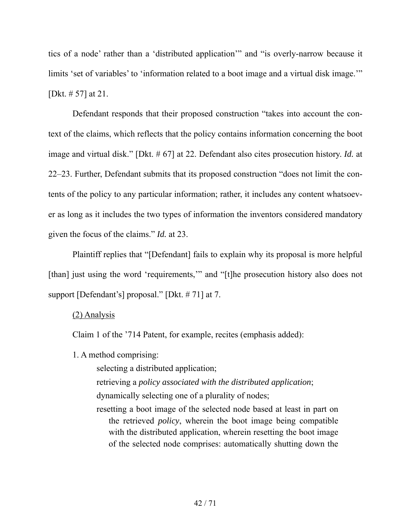tics of a node' rather than a 'distributed application'" and "is overly-narrow because it limits 'set of variables' to 'information related to a boot image and a virtual disk image." [Dkt. # 57] at 21.

Defendant responds that their proposed construction "takes into account the context of the claims, which reflects that the policy contains information concerning the boot image and virtual disk." [Dkt. # 67] at 22. Defendant also cites prosecution history. *Id.* at 22–23. Further, Defendant submits that its proposed construction "does not limit the contents of the policy to any particular information; rather, it includes any content whatsoever as long as it includes the two types of information the inventors considered mandatory given the focus of the claims." *Id.* at 23.

Plaintiff replies that "[Defendant] fails to explain why its proposal is more helpful [than] just using the word 'requirements,'" and "[t]he prosecution history also does not support [Defendant's] proposal." [Dkt. # 71] at 7.

## (2) Analysis

Claim 1 of the '714 Patent, for example, recites (emphasis added):

1. A method comprising:

selecting a distributed application;

retrieving a *policy associated with the distributed application*; dynamically selecting one of a plurality of nodes;

resetting a boot image of the selected node based at least in part on the retrieved *policy*, wherein the boot image being compatible with the distributed application, wherein resetting the boot image of the selected node comprises: automatically shutting down the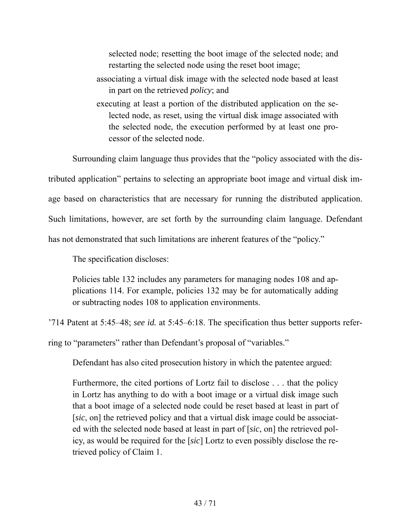selected node; resetting the boot image of the selected node; and restarting the selected node using the reset boot image;

- associating a virtual disk image with the selected node based at least in part on the retrieved *policy*; and
- executing at least a portion of the distributed application on the selected node, as reset, using the virtual disk image associated with the selected node, the execution performed by at least one processor of the selected node.

Surrounding claim language thus provides that the "policy associated with the dis-

tributed application" pertains to selecting an appropriate boot image and virtual disk image based on characteristics that are necessary for running the distributed application.

Such limitations, however, are set forth by the surrounding claim language. Defendant

has not demonstrated that such limitations are inherent features of the "policy."

The specification discloses:

Policies table 132 includes any parameters for managing nodes 108 and applications 114. For example, policies 132 may be for automatically adding or subtracting nodes 108 to application environments.

'714 Patent at 5:45–48; *see id.* at 5:45–6:18. The specification thus better supports refer-

ring to "parameters" rather than Defendant's proposal of "variables."

Defendant has also cited prosecution history in which the patentee argued:

Furthermore, the cited portions of Lortz fail to disclose . . . that the policy in Lortz has anything to do with a boot image or a virtual disk image such that a boot image of a selected node could be reset based at least in part of [*sic*, on] the retrieved policy and that a virtual disk image could be associated with the selected node based at least in part of [*sic*, on] the retrieved policy, as would be required for the [*sic*] Lortz to even possibly disclose the retrieved policy of Claim 1.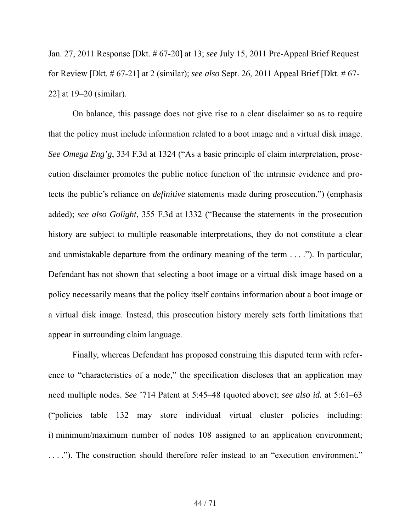Jan. 27, 2011 Response [Dkt. # 67-20] at 13; *see* July 15, 2011 Pre-Appeal Brief Request for Review [Dkt. # 67-21] at 2 (similar); *see also* Sept. 26, 2011 Appeal Brief [Dkt. # 67- 22] at 19–20 (similar).

On balance, this passage does not give rise to a clear disclaimer so as to require that the policy must include information related to a boot image and a virtual disk image. *See Omega Eng'g*, 334 F.3d at 1324 ("As a basic principle of claim interpretation, prosecution disclaimer promotes the public notice function of the intrinsic evidence and protects the public's reliance on *definitive* statements made during prosecution.") (emphasis added); *see also Golight*, 355 F.3d at 1332 ("Because the statements in the prosecution history are subject to multiple reasonable interpretations, they do not constitute a clear and unmistakable departure from the ordinary meaning of the term . . . ."). In particular, Defendant has not shown that selecting a boot image or a virtual disk image based on a policy necessarily means that the policy itself contains information about a boot image or a virtual disk image. Instead, this prosecution history merely sets forth limitations that appear in surrounding claim language.

Finally, whereas Defendant has proposed construing this disputed term with reference to "characteristics of a node," the specification discloses that an application may need multiple nodes. *See* '714 Patent at 5:45–48 (quoted above); *see also id.* at 5:61–63 ("policies table 132 may store individual virtual cluster policies including: i) minimum/maximum number of nodes 108 assigned to an application environment; . . . ."). The construction should therefore refer instead to an "execution environment."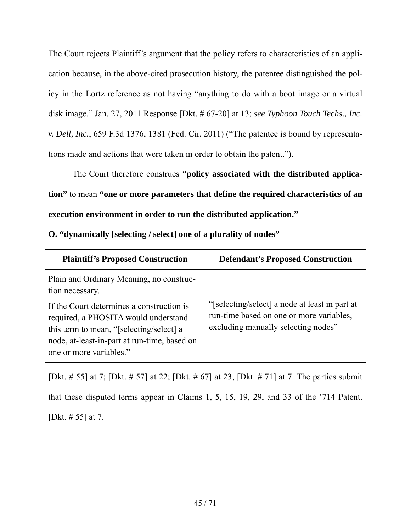The Court rejects Plaintiff's argument that the policy refers to characteristics of an application because, in the above-cited prosecution history, the patentee distinguished the policy in the Lortz reference as not having "anything to do with a boot image or a virtual disk image." Jan. 27, 2011 Response [Dkt. # 67-20] at 13; *see Typhoon Touch Techs., Inc. v. Dell, Inc.*, 659 F.3d 1376, 1381 (Fed. Cir. 2011) ("The patentee is bound by representations made and actions that were taken in order to obtain the patent.").

The Court therefore construes **"policy associated with the distributed application"** to mean **"one or more parameters that define the required characteristics of an execution environment in order to run the distributed application."** 

| <b>Plaintiff's Proposed Construction</b>                                                                                                                                                                                                                                | <b>Defendant's Proposed Construction</b>                                                                                          |
|-------------------------------------------------------------------------------------------------------------------------------------------------------------------------------------------------------------------------------------------------------------------------|-----------------------------------------------------------------------------------------------------------------------------------|
| Plain and Ordinary Meaning, no construc-<br>tion necessary.<br>If the Court determines a construction is<br>required, a PHOSITA would understand<br>this term to mean, "[selecting/select] a<br>node, at-least-in-part at run-time, based on<br>one or more variables." | "[selecting/select] a node at least in part at<br>run-time based on one or more variables,<br>excluding manually selecting nodes" |

[Dkt. # 55] at 7; [Dkt. # 57] at 22; [Dkt. # 67] at 23; [Dkt. # 71] at 7. The parties submit that these disputed terms appear in Claims 1, 5, 15, 19, 29, and 33 of the '714 Patent. [Dkt. # 55] at 7.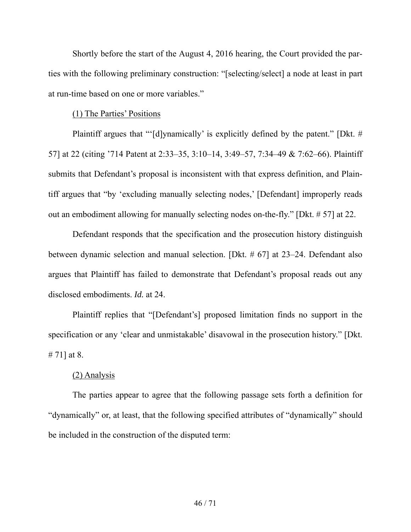Shortly before the start of the August 4, 2016 hearing, the Court provided the parties with the following preliminary construction: "[selecting/select] a node at least in part at run-time based on one or more variables."

#### (1) The Parties' Positions

Plaintiff argues that "'[d]ynamically' is explicitly defined by the patent." [Dkt. # 57] at 22 (citing '714 Patent at 2:33–35, 3:10–14, 3:49–57, 7:34–49 & 7:62–66). Plaintiff submits that Defendant's proposal is inconsistent with that express definition, and Plaintiff argues that "by 'excluding manually selecting nodes,' [Defendant] improperly reads out an embodiment allowing for manually selecting nodes on-the-fly." [Dkt. # 57] at 22.

Defendant responds that the specification and the prosecution history distinguish between dynamic selection and manual selection. [Dkt. # 67] at 23–24. Defendant also argues that Plaintiff has failed to demonstrate that Defendant's proposal reads out any disclosed embodiments. *Id.* at 24.

Plaintiff replies that "[Defendant's] proposed limitation finds no support in the specification or any 'clear and unmistakable' disavowal in the prosecution history." [Dkt. # 71] at 8.

### (2) Analysis

The parties appear to agree that the following passage sets forth a definition for "dynamically" or, at least, that the following specified attributes of "dynamically" should be included in the construction of the disputed term: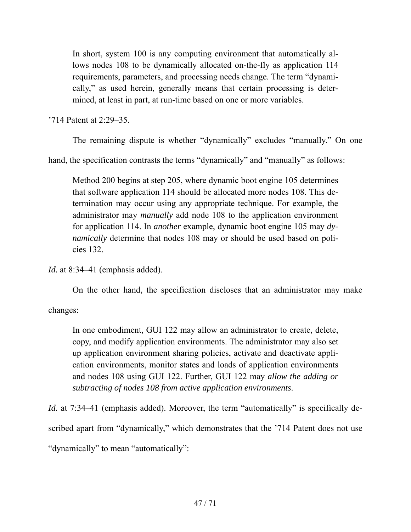In short, system 100 is any computing environment that automatically allows nodes 108 to be dynamically allocated on-the-fly as application 114 requirements, parameters, and processing needs change. The term "dynamically," as used herein, generally means that certain processing is determined, at least in part, at run-time based on one or more variables.

'714 Patent at 2:29–35.

The remaining dispute is whether "dynamically" excludes "manually." On one

hand, the specification contrasts the terms "dynamically" and "manually" as follows:

Method 200 begins at step 205, where dynamic boot engine 105 determines that software application 114 should be allocated more nodes 108. This determination may occur using any appropriate technique. For example, the administrator may *manually* add node 108 to the application environment for application 114. In *another* example, dynamic boot engine 105 may *dynamically* determine that nodes 108 may or should be used based on policies 132.

*Id.* at 8:34–41 (emphasis added).

On the other hand, the specification discloses that an administrator may make

changes:

In one embodiment, GUI 122 may allow an administrator to create, delete, copy, and modify application environments. The administrator may also set up application environment sharing policies, activate and deactivate application environments, monitor states and loads of application environments and nodes 108 using GUI 122. Further, GUI 122 may *allow the adding or subtracting of nodes 108 from active application environments*.

*Id.* at 7:34–41 (emphasis added). Moreover, the term "automatically" is specifically described apart from "dynamically," which demonstrates that the '714 Patent does not use "dynamically" to mean "automatically":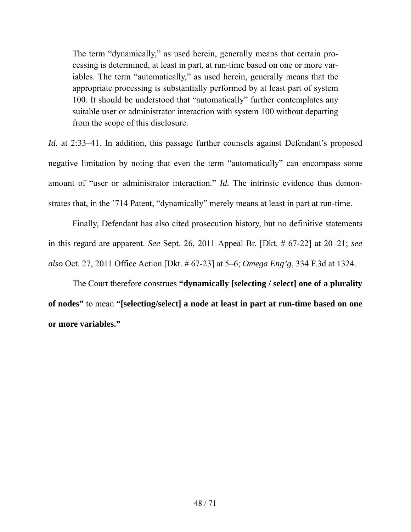The term "dynamically," as used herein, generally means that certain processing is determined, at least in part, at run-time based on one or more variables. The term "automatically," as used herein, generally means that the appropriate processing is substantially performed by at least part of system 100. It should be understood that "automatically" further contemplates any suitable user or administrator interaction with system 100 without departing from the scope of this disclosure.

*Id.* at 2:33–41. In addition, this passage further counsels against Defendant's proposed negative limitation by noting that even the term "automatically" can encompass some amount of "user or administrator interaction." *Id.* The intrinsic evidence thus demonstrates that, in the '714 Patent, "dynamically" merely means at least in part at run-time.

Finally, Defendant has also cited prosecution history, but no definitive statements in this regard are apparent. *See* Sept. 26, 2011 Appeal Br. [Dkt. # 67-22] at 20–21; *see also* Oct. 27, 2011 Office Action [Dkt. # 67-23] at 5–6; *Omega Eng'g*, 334 F.3d at 1324.

The Court therefore construes **"dynamically [selecting / select] one of a plurality of nodes"** to mean **"[selecting/select] a node at least in part at run-time based on one or more variables."**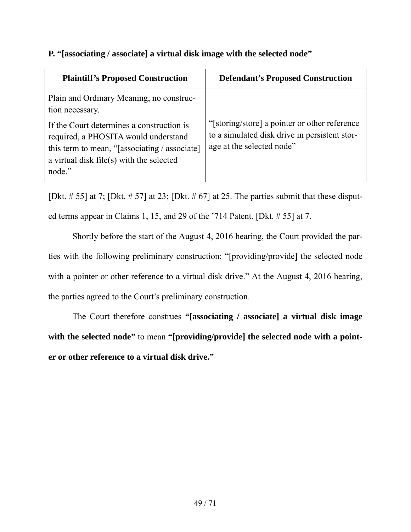# **P. "[associating / associate] a virtual disk image with the selected node"**

| <b>Plaintiff's Proposed Construction</b>                                                                                                                                                 | <b>Defendant's Proposed Construction</b>                                                                                    |
|------------------------------------------------------------------------------------------------------------------------------------------------------------------------------------------|-----------------------------------------------------------------------------------------------------------------------------|
| Plain and Ordinary Meaning, no construc-<br>tion necessary.                                                                                                                              |                                                                                                                             |
| If the Court determines a construction is<br>required, a PHOSITA would understand<br>this term to mean, "[associating / associate]<br>a virtual disk file(s) with the selected<br>node." | "[storing/store] a pointer or other reference<br>to a simulated disk drive in persistent stor-<br>age at the selected node" |

[Dkt.  $\# 55$ ] at 7; [Dkt.  $\# 57$ ] at 23; [Dkt.  $\# 67$ ] at 25. The parties submit that these disputed terms appear in Claims 1, 15, and 29 of the '714 Patent. [Dkt. # 55] at 7.

Shortly before the start of the August 4, 2016 hearing, the Court provided the parties with the following preliminary construction: "[providing/provide] the selected node with a pointer or other reference to a virtual disk drive." At the August 4, 2016 hearing, the parties agreed to the Court's preliminary construction.

The Court therefore construes **"[associating / associate] a virtual disk image with the selected node"** to mean **"[providing/provide] the selected node with a pointer or other reference to a virtual disk drive."**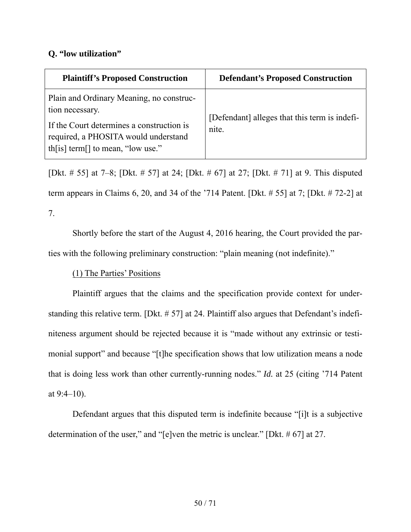# **Q. "low utilization"**

| <b>Plaintiff's Proposed Construction</b>                                                                                                                                              | <b>Defendant's Proposed Construction</b>               |
|---------------------------------------------------------------------------------------------------------------------------------------------------------------------------------------|--------------------------------------------------------|
| Plain and Ordinary Meaning, no construc-<br>tion necessary.<br>If the Court determines a construction is<br>required, a PHOSITA would understand<br>th[is] term[] to mean, "low use." | [Defendant] alleges that this term is indefi-<br>nite. |

[Dkt. # 55] at 7–8; [Dkt. # 57] at 24; [Dkt. # 67] at 27; [Dkt. # 71] at 9. This disputed term appears in Claims 6, 20, and 34 of the '714 Patent. [Dkt. # 55] at 7; [Dkt. # 72-2] at 7.

Shortly before the start of the August 4, 2016 hearing, the Court provided the parties with the following preliminary construction: "plain meaning (not indefinite)."

# (1) The Parties' Positions

Plaintiff argues that the claims and the specification provide context for understanding this relative term. [Dkt. # 57] at 24. Plaintiff also argues that Defendant's indefiniteness argument should be rejected because it is "made without any extrinsic or testimonial support" and because "[t]he specification shows that low utilization means a node that is doing less work than other currently-running nodes." *Id.* at 25 (citing '714 Patent at  $9:4-10$ ).

Defendant argues that this disputed term is indefinite because "[i]t is a subjective determination of the user," and "[e]ven the metric is unclear." [Dkt. # 67] at 27.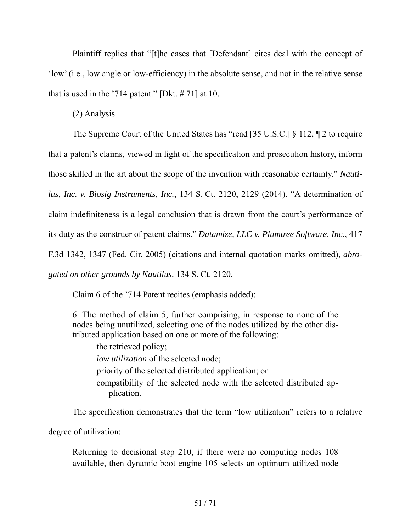Plaintiff replies that "[t]he cases that [Defendant] cites deal with the concept of 'low' (i.e., low angle or low-efficiency) in the absolute sense, and not in the relative sense that is used in the '714 patent." [Dkt.  $\# 71$ ] at 10.

## (2) Analysis

The Supreme Court of the United States has "read [35 U.S.C.] § 112, ¶ 2 to require that a patent's claims, viewed in light of the specification and prosecution history, inform those skilled in the art about the scope of the invention with reasonable certainty." *Nautilus, Inc. v. Biosig Instruments, Inc.*, 134 S. Ct. 2120, 2129 (2014). "A determination of claim indefiniteness is a legal conclusion that is drawn from the court's performance of its duty as the construer of patent claims." *Datamize, LLC v. Plumtree Software, Inc.*, 417 F.3d 1342, 1347 (Fed. Cir. 2005) (citations and internal quotation marks omitted), *abrogated on other grounds by Nautilus,* 134 S. Ct. 2120.

Claim 6 of the '714 Patent recites (emphasis added):

6. The method of claim 5, further comprising, in response to none of the nodes being unutilized, selecting one of the nodes utilized by the other distributed application based on one or more of the following:

the retrieved policy; *low utilization* of the selected node; priority of the selected distributed application; or compatibility of the selected node with the selected distributed application.

The specification demonstrates that the term "low utilization" refers to a relative

degree of utilization:

Returning to decisional step 210, if there were no computing nodes 108 available, then dynamic boot engine 105 selects an optimum utilized node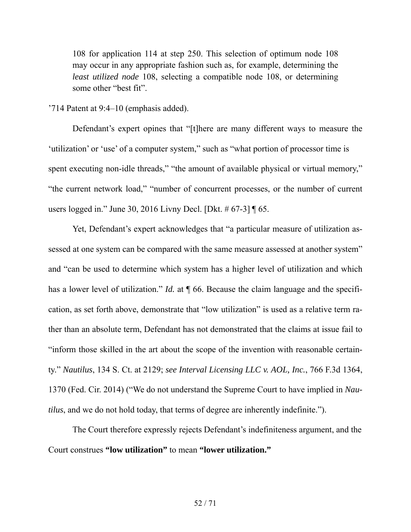108 for application 114 at step 250. This selection of optimum node 108 may occur in any appropriate fashion such as, for example, determining the *least utilized node* 108, selecting a compatible node 108, or determining some other "best fit".

#### '714 Patent at 9:4–10 (emphasis added).

Defendant's expert opines that "[t]here are many different ways to measure the 'utilization' or 'use' of a computer system," such as "what portion of processor time is spent executing non-idle threads," "the amount of available physical or virtual memory," "the current network load," "number of concurrent processes, or the number of current users logged in." June 30, 2016 Livny Decl. [Dkt. # 67-3] ¶ 65.

Yet, Defendant's expert acknowledges that "a particular measure of utilization assessed at one system can be compared with the same measure assessed at another system" and "can be used to determine which system has a higher level of utilization and which has a lower level of utilization." *Id.* at  $\P$  66. Because the claim language and the specification, as set forth above, demonstrate that "low utilization" is used as a relative term rather than an absolute term, Defendant has not demonstrated that the claims at issue fail to "inform those skilled in the art about the scope of the invention with reasonable certainty." *Nautilus*, 134 S. Ct. at 2129; *see Interval Licensing LLC v. AOL, Inc.*, 766 F.3d 1364, 1370 (Fed. Cir. 2014) ("We do not understand the Supreme Court to have implied in *Nautilus*, and we do not hold today, that terms of degree are inherently indefinite.").

The Court therefore expressly rejects Defendant's indefiniteness argument, and the Court construes **"low utilization"** to mean **"lower utilization."**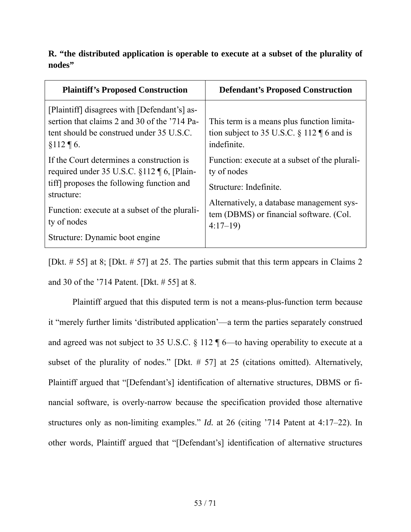# **R. "the distributed application is operable to execute at a subset of the plurality of nodes"**

| <b>Plaintiff's Proposed Construction</b>                                                                                                                                                                                                                | <b>Defendant's Proposed Construction</b>                                                                                                                                                    |
|---------------------------------------------------------------------------------------------------------------------------------------------------------------------------------------------------------------------------------------------------------|---------------------------------------------------------------------------------------------------------------------------------------------------------------------------------------------|
| [Plaintiff] disagrees with [Defendant's] as-<br>sertion that claims 2 and 30 of the '714 Pa-<br>tent should be construed under 35 U.S.C.<br>$§112 \P 6.$                                                                                                | This term is a means plus function limita-<br>tion subject to 35 U.S.C. $\S$ 112 $\P$ 6 and is<br>indefinite.                                                                               |
| If the Court determines a construction is<br>required under 35 U.S.C. $\S$ 112   6, [Plain-<br>tiff proposes the following function and<br>structure:<br>Function: execute at a subset of the plurali-<br>ty of nodes<br>Structure: Dynamic boot engine | Function: execute at a subset of the plurali-<br>ty of nodes<br>Structure: Indefinite.<br>Alternatively, a database management sys-<br>tem (DBMS) or financial software. (Col.<br>$4:17-19$ |

[Dkt. # 55] at 8; [Dkt. # 57] at 25. The parties submit that this term appears in Claims 2 and 30 of the '714 Patent. [Dkt. # 55] at 8.

Plaintiff argued that this disputed term is not a means-plus-function term because it "merely further limits 'distributed application'—a term the parties separately construed and agreed was not subject to 35 U.S.C. § 112 ¶ 6—to having operability to execute at a subset of the plurality of nodes." [Dkt. # 57] at 25 (citations omitted). Alternatively, Plaintiff argued that "[Defendant's] identification of alternative structures, DBMS or financial software, is overly-narrow because the specification provided those alternative structures only as non-limiting examples." *Id.* at 26 (citing '714 Patent at 4:17–22). In other words, Plaintiff argued that "[Defendant's] identification of alternative structures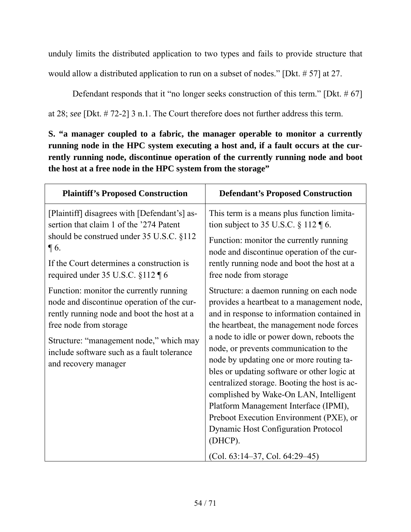unduly limits the distributed application to two types and fails to provide structure that would allow a distributed application to run on a subset of nodes." [Dkt. # 57] at 27.

Defendant responds that it "no longer seeks construction of this term." [Dkt. # 67]

at 28; *see* [Dkt. # 72-2] 3 n.1. The Court therefore does not further address this term.

**S. "a manager coupled to a fabric, the manager operable to monitor a currently running node in the HPC system executing a host and, if a fault occurs at the currently running node, discontinue operation of the currently running node and boot the host at a free node in the HPC system from the storage"** 

| <b>Plaintiff's Proposed Construction</b>                                                                                                                                                                                                                                       | <b>Defendant's Proposed Construction</b>                                                                                                                                                                                                                                                                                                                                                                                                                                                                                                                                                                                                        |
|--------------------------------------------------------------------------------------------------------------------------------------------------------------------------------------------------------------------------------------------------------------------------------|-------------------------------------------------------------------------------------------------------------------------------------------------------------------------------------------------------------------------------------------------------------------------------------------------------------------------------------------------------------------------------------------------------------------------------------------------------------------------------------------------------------------------------------------------------------------------------------------------------------------------------------------------|
| [Plaintiff] disagrees with [Defendant's] as-<br>sertion that claim 1 of the '274 Patent<br>should be construed under 35 U.S.C. §112<br>$\P$ 6.<br>If the Court determines a construction is<br>required under 35 U.S.C. §112 ¶ 6                                               | This term is a means plus function limita-<br>tion subject to 35 U.S.C. $\S 112 \text{ } \text{T} 6$ .<br>Function: monitor the currently running<br>node and discontinue operation of the cur-<br>rently running node and boot the host at a<br>free node from storage                                                                                                                                                                                                                                                                                                                                                                         |
| Function: monitor the currently running<br>node and discontinue operation of the cur-<br>rently running node and boot the host at a<br>free node from storage<br>Structure: "management node," which may<br>include software such as a fault tolerance<br>and recovery manager | Structure: a daemon running on each node<br>provides a heartbeat to a management node,<br>and in response to information contained in<br>the heartbeat, the management node forces<br>a node to idle or power down, reboots the<br>node, or prevents communication to the<br>node by updating one or more routing ta-<br>bles or updating software or other logic at<br>centralized storage. Booting the host is ac-<br>complished by Wake-On LAN, Intelligent<br>Platform Management Interface (IPMI),<br>Preboot Execution Environment (PXE), or<br><b>Dynamic Host Configuration Protocol</b><br>(DHCP).<br>$(Col. 63:14-37, Col. 64:29-45)$ |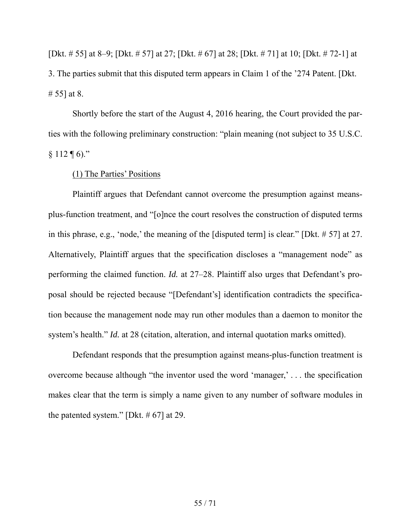[Dkt. # 55] at 8–9; [Dkt. # 57] at 27; [Dkt. # 67] at 28; [Dkt. # 71] at 10; [Dkt. # 72-1] at 3. The parties submit that this disputed term appears in Claim 1 of the '274 Patent. [Dkt. # 55] at 8.

Shortly before the start of the August 4, 2016 hearing, the Court provided the parties with the following preliminary construction: "plain meaning (not subject to 35 U.S.C.  $§ 112 \text{ } \text{\textdegree}$  6)."

(1) The Parties' Positions

Plaintiff argues that Defendant cannot overcome the presumption against meansplus-function treatment, and "[o]nce the court resolves the construction of disputed terms in this phrase, e.g., 'node,' the meaning of the [disputed term] is clear." [Dkt. # 57] at 27. Alternatively, Plaintiff argues that the specification discloses a "management node" as performing the claimed function. *Id.* at 27–28. Plaintiff also urges that Defendant's proposal should be rejected because "[Defendant's] identification contradicts the specification because the management node may run other modules than a daemon to monitor the system's health." *Id.* at 28 (citation, alteration, and internal quotation marks omitted).

Defendant responds that the presumption against means-plus-function treatment is overcome because although "the inventor used the word 'manager,' . . . the specification makes clear that the term is simply a name given to any number of software modules in the patented system." [Dkt. # 67] at 29.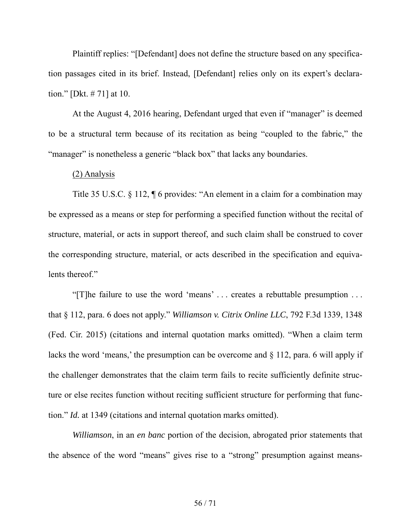Plaintiff replies: "[Defendant] does not define the structure based on any specification passages cited in its brief. Instead, [Defendant] relies only on its expert's declaration." [Dkt. # 71] at 10.

At the August 4, 2016 hearing, Defendant urged that even if "manager" is deemed to be a structural term because of its recitation as being "coupled to the fabric," the "manager" is nonetheless a generic "black box" that lacks any boundaries.

#### (2) Analysis

Title 35 U.S.C. § 112, ¶ 6 provides: "An element in a claim for a combination may be expressed as a means or step for performing a specified function without the recital of structure, material, or acts in support thereof, and such claim shall be construed to cover the corresponding structure, material, or acts described in the specification and equivalents thereof."

"[T]he failure to use the word 'means' . . . creates a rebuttable presumption . . . that § 112, para. 6 does not apply." *Williamson v. Citrix Online LLC*, 792 F.3d 1339, 1348 (Fed. Cir. 2015) (citations and internal quotation marks omitted). "When a claim term lacks the word 'means,' the presumption can be overcome and § 112, para. 6 will apply if the challenger demonstrates that the claim term fails to recite sufficiently definite structure or else recites function without reciting sufficient structure for performing that function." *Id.* at 1349 (citations and internal quotation marks omitted).

*Williamson*, in an *en banc* portion of the decision, abrogated prior statements that the absence of the word "means" gives rise to a "strong" presumption against means-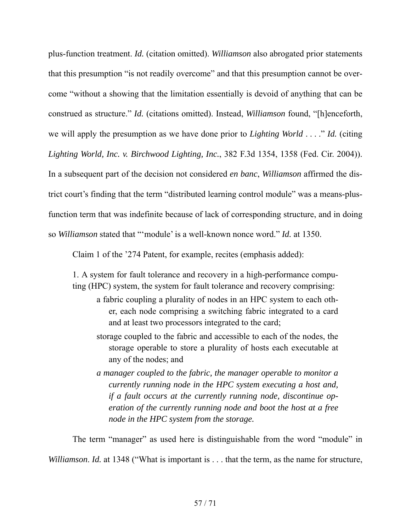plus-function treatment. *Id.* (citation omitted). *Williamson* also abrogated prior statements that this presumption "is not readily overcome" and that this presumption cannot be overcome "without a showing that the limitation essentially is devoid of anything that can be construed as structure." *Id.* (citations omitted). Instead, *Williamson* found, "[h]enceforth, we will apply the presumption as we have done prior to *Lighting World* . . . ." *Id.* (citing *Lighting World, Inc. v. Birchwood Lighting, Inc.*, 382 F.3d 1354, 1358 (Fed. Cir. 2004)). In a subsequent part of the decision not considered *en banc*, *Williamson* affirmed the district court's finding that the term "distributed learning control module" was a means-plusfunction term that was indefinite because of lack of corresponding structure, and in doing so *Williamson* stated that "'module' is a well-known nonce word." *Id.* at 1350.

Claim 1 of the '274 Patent, for example, recites (emphasis added):

1. A system for fault tolerance and recovery in a high-performance computing (HPC) system, the system for fault tolerance and recovery comprising:

- a fabric coupling a plurality of nodes in an HPC system to each other, each node comprising a switching fabric integrated to a card and at least two processors integrated to the card;
- storage coupled to the fabric and accessible to each of the nodes, the storage operable to store a plurality of hosts each executable at any of the nodes; and
- *a manager coupled to the fabric, the manager operable to monitor a currently running node in the HPC system executing a host and, if a fault occurs at the currently running node, discontinue operation of the currently running node and boot the host at a free node in the HPC system from the storage.*

The term "manager" as used here is distinguishable from the word "module" in *Williamson*. *Id.* at 1348 ("What is important is . . . that the term, as the name for structure,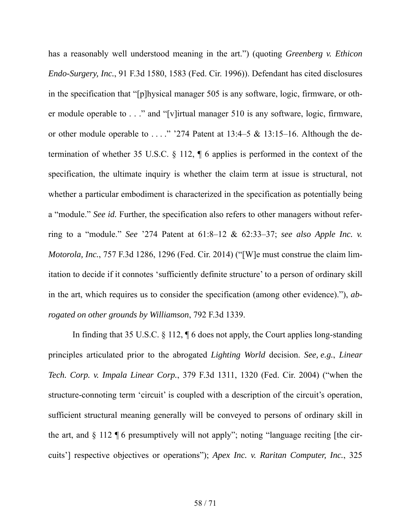has a reasonably well understood meaning in the art.") (quoting *Greenberg v. Ethicon Endo-Surgery, Inc.*, 91 F.3d 1580, 1583 (Fed. Cir. 1996)). Defendant has cited disclosures in the specification that "[p]hysical manager 505 is any software, logic, firmware, or other module operable to . . ." and "[v]irtual manager 510 is any software, logic, firmware, or other module operable to . . . ." '274 Patent at 13:4–5 & 13:15–16. Although the determination of whether 35 U.S.C. § 112, ¶ 6 applies is performed in the context of the specification, the ultimate inquiry is whether the claim term at issue is structural, not whether a particular embodiment is characterized in the specification as potentially being a "module." *See id.* Further, the specification also refers to other managers without referring to a "module." *See* '274 Patent at 61:8–12 & 62:33–37; *see also Apple Inc. v. Motorola, Inc.*, 757 F.3d 1286, 1296 (Fed. Cir. 2014) ("[W]e must construe the claim limitation to decide if it connotes 'sufficiently definite structure' to a person of ordinary skill in the art, which requires us to consider the specification (among other evidence)."), *abrogated on other grounds by Williamson*, 792 F.3d 1339.

In finding that 35 U.S.C. § 112, ¶ 6 does not apply, the Court applies long-standing principles articulated prior to the abrogated *Lighting World* decision. *See, e.g.*, *Linear Tech. Corp. v. Impala Linear Corp.*, 379 F.3d 1311, 1320 (Fed. Cir. 2004) ("when the structure-connoting term 'circuit' is coupled with a description of the circuit's operation, sufficient structural meaning generally will be conveyed to persons of ordinary skill in the art, and  $\S$  112  $\P$  6 presumptively will not apply"; noting "language reciting [the circuits'] respective objectives or operations"); *Apex Inc. v. Raritan Computer, Inc.*, 325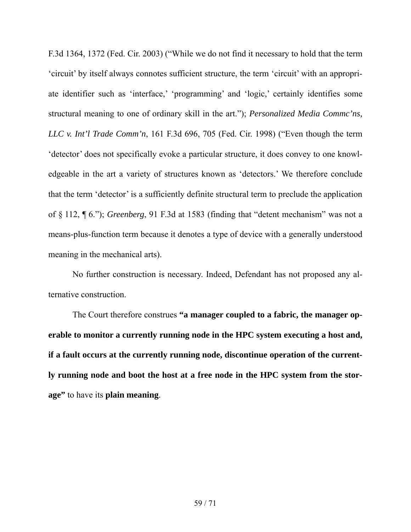F.3d 1364, 1372 (Fed. Cir. 2003) ("While we do not find it necessary to hold that the term 'circuit' by itself always connotes sufficient structure, the term 'circuit' with an appropriate identifier such as 'interface,' 'programming' and 'logic,' certainly identifies some structural meaning to one of ordinary skill in the art."); *Personalized Media Commc'ns, LLC v. Int'l Trade Comm'n*, 161 F.3d 696, 705 (Fed. Cir. 1998) ("Even though the term 'detector' does not specifically evoke a particular structure, it does convey to one knowledgeable in the art a variety of structures known as 'detectors.' We therefore conclude that the term 'detector' is a sufficiently definite structural term to preclude the application of § 112, ¶ 6."); *Greenberg*, 91 F.3d at 1583 (finding that "detent mechanism" was not a means-plus-function term because it denotes a type of device with a generally understood meaning in the mechanical arts).

No further construction is necessary. Indeed, Defendant has not proposed any alternative construction.

The Court therefore construes **"a manager coupled to a fabric, the manager operable to monitor a currently running node in the HPC system executing a host and, if a fault occurs at the currently running node, discontinue operation of the currently running node and boot the host at a free node in the HPC system from the storage"** to have its **plain meaning**.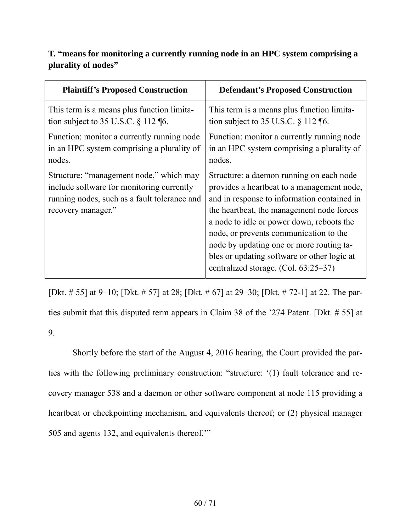# **T. "means for monitoring a currently running node in an HPC system comprising a plurality of nodes"**

| <b>Plaintiff's Proposed Construction</b>                                                                                                                   | <b>Defendant's Proposed Construction</b>                                                                                                                                                                                                                                                                                                                                                                     |
|------------------------------------------------------------------------------------------------------------------------------------------------------------|--------------------------------------------------------------------------------------------------------------------------------------------------------------------------------------------------------------------------------------------------------------------------------------------------------------------------------------------------------------------------------------------------------------|
| This term is a means plus function limita-                                                                                                                 | This term is a means plus function limita-                                                                                                                                                                                                                                                                                                                                                                   |
| tion subject to 35 U.S.C. $\S$ 112 [6.]                                                                                                                    | tion subject to 35 U.S.C. $\S$ 112 [6.]                                                                                                                                                                                                                                                                                                                                                                      |
| Function: monitor a currently running node                                                                                                                 | Function: monitor a currently running node                                                                                                                                                                                                                                                                                                                                                                   |
| in an HPC system comprising a plurality of                                                                                                                 | in an HPC system comprising a plurality of                                                                                                                                                                                                                                                                                                                                                                   |
| nodes.                                                                                                                                                     | nodes.                                                                                                                                                                                                                                                                                                                                                                                                       |
| Structure: "management node," which may<br>include software for monitoring currently<br>running nodes, such as a fault tolerance and<br>recovery manager." | Structure: a daemon running on each node<br>provides a heartbeat to a management node,<br>and in response to information contained in<br>the heartbeat, the management node forces<br>a node to idle or power down, reboots the<br>node, or prevents communication to the<br>node by updating one or more routing ta-<br>bles or updating software or other logic at<br>centralized storage. (Col. 63:25–37) |

[Dkt. # 55] at 9–10; [Dkt. # 57] at 28; [Dkt. # 67] at 29–30; [Dkt. # 72-1] at 22. The parties submit that this disputed term appears in Claim 38 of the '274 Patent. [Dkt. # 55] at 9.

Shortly before the start of the August 4, 2016 hearing, the Court provided the parties with the following preliminary construction: "structure: '(1) fault tolerance and recovery manager 538 and a daemon or other software component at node 115 providing a heartbeat or checkpointing mechanism, and equivalents thereof; or (2) physical manager 505 and agents 132, and equivalents thereof.'"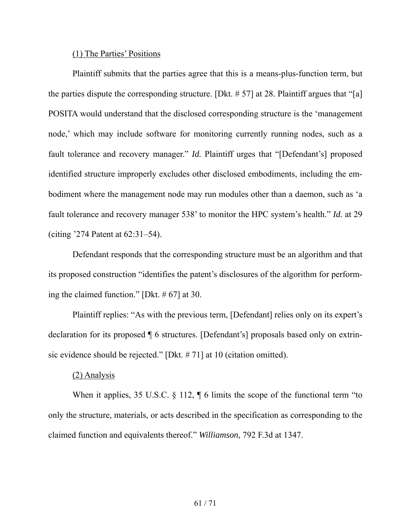#### (1) The Parties' Positions

Plaintiff submits that the parties agree that this is a means-plus-function term, but the parties dispute the corresponding structure. [Dkt.  $\# 57$ ] at 28. Plaintiff argues that "[a] POSITA would understand that the disclosed corresponding structure is the 'management node,' which may include software for monitoring currently running nodes, such as a fault tolerance and recovery manager." *Id.* Plaintiff urges that "[Defendant's] proposed identified structure improperly excludes other disclosed embodiments, including the embodiment where the management node may run modules other than a daemon, such as 'a fault tolerance and recovery manager 538' to monitor the HPC system's health." *Id.* at 29 (citing '274 Patent at 62:31–54).

Defendant responds that the corresponding structure must be an algorithm and that its proposed construction "identifies the patent's disclosures of the algorithm for performing the claimed function." [Dkt. # 67] at 30.

Plaintiff replies: "As with the previous term, [Defendant] relies only on its expert's declaration for its proposed ¶ 6 structures. [Defendant's] proposals based only on extrinsic evidence should be rejected." [Dkt. # 71] at 10 (citation omitted).

### (2) Analysis

When it applies, 35 U.S.C. § 112,  $\parallel$  6 limits the scope of the functional term "to only the structure, materials, or acts described in the specification as corresponding to the claimed function and equivalents thereof." *Williamson*, 792 F.3d at 1347.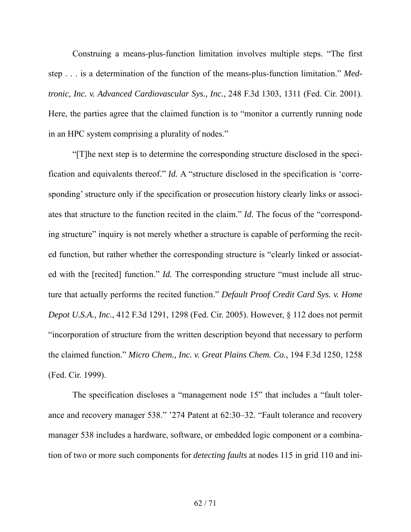Construing a means-plus-function limitation involves multiple steps. "The first step . . . is a determination of the function of the means-plus-function limitation." *Medtronic, Inc. v. Advanced Cardiovascular Sys., Inc.*, 248 F.3d 1303, 1311 (Fed. Cir. 2001). Here, the parties agree that the claimed function is to "monitor a currently running node in an HPC system comprising a plurality of nodes."

"[T]he next step is to determine the corresponding structure disclosed in the specification and equivalents thereof." *Id.* A "structure disclosed in the specification is 'corresponding' structure only if the specification or prosecution history clearly links or associates that structure to the function recited in the claim." *Id.* The focus of the "corresponding structure" inquiry is not merely whether a structure is capable of performing the recited function, but rather whether the corresponding structure is "clearly linked or associated with the [recited] function." *Id.* The corresponding structure "must include all structure that actually performs the recited function." *Default Proof Credit Card Sys. v. Home Depot U.S.A., Inc.*, 412 F.3d 1291, 1298 (Fed. Cir. 2005). However, § 112 does not permit "incorporation of structure from the written description beyond that necessary to perform the claimed function." *Micro Chem., Inc. v. Great Plains Chem. Co.*, 194 F.3d 1250, 1258 (Fed. Cir. 1999).

The specification discloses a "management node 15" that includes a "fault tolerance and recovery manager 538." '274 Patent at 62:30–32. "Fault tolerance and recovery manager 538 includes a hardware, software, or embedded logic component or a combination of two or more such components for *detecting faults* at nodes 115 in grid 110 and ini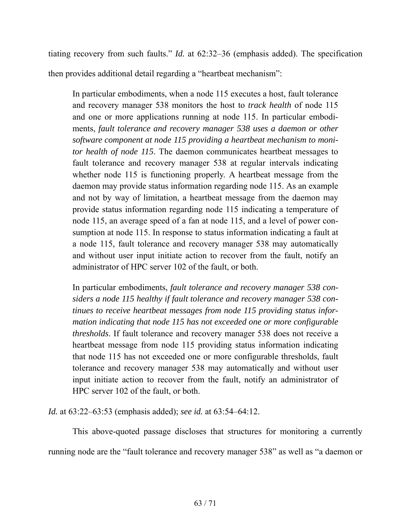tiating recovery from such faults." *Id.* at 62:32–36 (emphasis added). The specification then provides additional detail regarding a "heartbeat mechanism":

In particular embodiments, when a node 115 executes a host, fault tolerance and recovery manager 538 monitors the host to *track health* of node 115 and one or more applications running at node 115. In particular embodiments, *fault tolerance and recovery manager 538 uses a daemon or other software component at node 115 providing a heartbeat mechanism to monitor health of node 115*. The daemon communicates heartbeat messages to fault tolerance and recovery manager 538 at regular intervals indicating whether node 115 is functioning properly. A heartbeat message from the daemon may provide status information regarding node 115. As an example and not by way of limitation, a heartbeat message from the daemon may provide status information regarding node 115 indicating a temperature of node 115, an average speed of a fan at node 115, and a level of power consumption at node 115. In response to status information indicating a fault at a node 115, fault tolerance and recovery manager 538 may automatically and without user input initiate action to recover from the fault, notify an administrator of HPC server 102 of the fault, or both.

In particular embodiments, *fault tolerance and recovery manager 538 considers a node 115 healthy if fault tolerance and recovery manager 538 continues to receive heartbeat messages from node 115 providing status information indicating that node 115 has not exceeded one or more configurable thresholds*. If fault tolerance and recovery manager 538 does not receive a heartbeat message from node 115 providing status information indicating that node 115 has not exceeded one or more configurable thresholds, fault tolerance and recovery manager 538 may automatically and without user input initiate action to recover from the fault, notify an administrator of HPC server 102 of the fault, or both.

*Id.* at 63:22–63:53 (emphasis added); *see id.* at 63:54–64:12.

This above-quoted passage discloses that structures for monitoring a currently running node are the "fault tolerance and recovery manager 538" as well as "a daemon or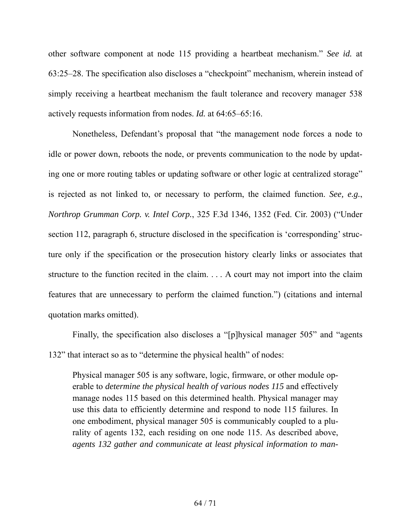other software component at node 115 providing a heartbeat mechanism." *See id.* at 63:25–28. The specification also discloses a "checkpoint" mechanism, wherein instead of simply receiving a heartbeat mechanism the fault tolerance and recovery manager 538 actively requests information from nodes. *Id.* at 64:65–65:16.

Nonetheless, Defendant's proposal that "the management node forces a node to idle or power down, reboots the node, or prevents communication to the node by updating one or more routing tables or updating software or other logic at centralized storage" is rejected as not linked to, or necessary to perform, the claimed function. *See, e.g.*, *Northrop Grumman Corp. v. Intel Corp.*, 325 F.3d 1346, 1352 (Fed. Cir. 2003) ("Under section 112, paragraph 6, structure disclosed in the specification is 'corresponding' structure only if the specification or the prosecution history clearly links or associates that structure to the function recited in the claim. . . . A court may not import into the claim features that are unnecessary to perform the claimed function.") (citations and internal quotation marks omitted).

Finally, the specification also discloses a "[p]hysical manager 505" and "agents 132" that interact so as to "determine the physical health" of nodes:

Physical manager 505 is any software, logic, firmware, or other module operable to *determine the physical health of various nodes 115* and effectively manage nodes 115 based on this determined health. Physical manager may use this data to efficiently determine and respond to node 115 failures. In one embodiment, physical manager 505 is communicably coupled to a plurality of agents 132, each residing on one node 115. As described above, *agents 132 gather and communicate at least physical information to man-*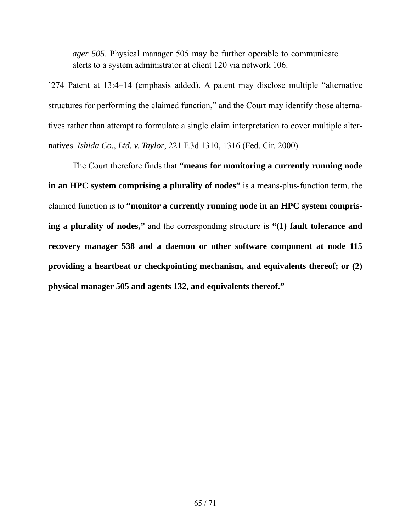*ager 505*. Physical manager 505 may be further operable to communicate alerts to a system administrator at client 120 via network 106.

'274 Patent at 13:4–14 (emphasis added). A patent may disclose multiple "alternative structures for performing the claimed function," and the Court may identify those alternatives rather than attempt to formulate a single claim interpretation to cover multiple alternatives. *Ishida Co., Ltd. v. Taylor*, 221 F.3d 1310, 1316 (Fed. Cir. 2000).

The Court therefore finds that **"means for monitoring a currently running node in an HPC system comprising a plurality of nodes"** is a means-plus-function term, the claimed function is to **"monitor a currently running node in an HPC system comprising a plurality of nodes,"** and the corresponding structure is **"(1) fault tolerance and recovery manager 538 and a daemon or other software component at node 115 providing a heartbeat or checkpointing mechanism, and equivalents thereof; or (2) physical manager 505 and agents 132, and equivalents thereof."**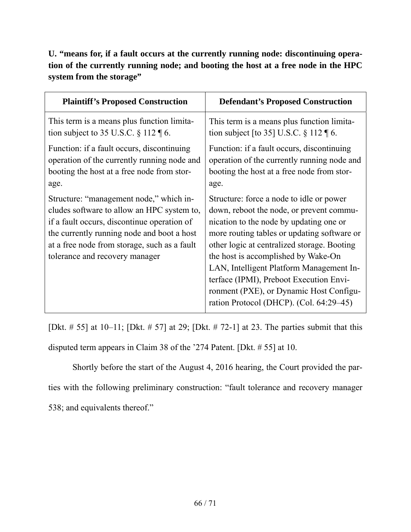**U. "means for, if a fault occurs at the currently running node: discontinuing operation of the currently running node; and booting the host at a free node in the HPC system from the storage"** 

| <b>Plaintiff's Proposed Construction</b>                                                                                                                                                                                                                             | <b>Defendant's Proposed Construction</b>                                                                                                                                                                                                                                                                                                                                                                                                          |
|----------------------------------------------------------------------------------------------------------------------------------------------------------------------------------------------------------------------------------------------------------------------|---------------------------------------------------------------------------------------------------------------------------------------------------------------------------------------------------------------------------------------------------------------------------------------------------------------------------------------------------------------------------------------------------------------------------------------------------|
| This term is a means plus function limita-                                                                                                                                                                                                                           | This term is a means plus function limita-                                                                                                                                                                                                                                                                                                                                                                                                        |
| tion subject to 35 U.S.C. $\S 112 \text{ } \text{T}$ 6.                                                                                                                                                                                                              | tion subject [to 35] U.S.C. $\S 112 \text{ } \text{\ensuremath{\mathsf{I}}\mathsf{6}}$ .                                                                                                                                                                                                                                                                                                                                                          |
| Function: if a fault occurs, discontinuing                                                                                                                                                                                                                           | Function: if a fault occurs, discontinuing                                                                                                                                                                                                                                                                                                                                                                                                        |
| operation of the currently running node and                                                                                                                                                                                                                          | operation of the currently running node and                                                                                                                                                                                                                                                                                                                                                                                                       |
| booting the host at a free node from stor-                                                                                                                                                                                                                           | booting the host at a free node from stor-                                                                                                                                                                                                                                                                                                                                                                                                        |
| age.                                                                                                                                                                                                                                                                 | age.                                                                                                                                                                                                                                                                                                                                                                                                                                              |
| Structure: "management node," which in-<br>cludes software to allow an HPC system to,<br>if a fault occurs, discontinue operation of<br>the currently running node and boot a host<br>at a free node from storage, such as a fault<br>tolerance and recovery manager | Structure: force a node to idle or power<br>down, reboot the node, or prevent commu-<br>nication to the node by updating one or<br>more routing tables or updating software or<br>other logic at centralized storage. Booting<br>the host is accomplished by Wake-On<br>LAN, Intelligent Platform Management In-<br>terface (IPMI), Preboot Execution Envi-<br>ronment (PXE), or Dynamic Host Configu-<br>ration Protocol (DHCP). (Col. 64:29–45) |

[Dkt.  $\# 55$ ] at 10–11; [Dkt.  $\# 57$ ] at 29; [Dkt.  $\# 72$ -1] at 23. The parties submit that this disputed term appears in Claim 38 of the '274 Patent. [Dkt. # 55] at 10.

Shortly before the start of the August 4, 2016 hearing, the Court provided the parties with the following preliminary construction: "fault tolerance and recovery manager 538; and equivalents thereof."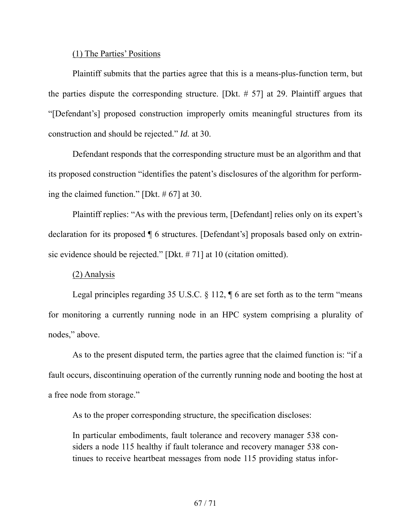### (1) The Parties' Positions

Plaintiff submits that the parties agree that this is a means-plus-function term, but the parties dispute the corresponding structure. [Dkt. # 57] at 29. Plaintiff argues that "[Defendant's] proposed construction improperly omits meaningful structures from its construction and should be rejected." *Id.* at 30.

Defendant responds that the corresponding structure must be an algorithm and that its proposed construction "identifies the patent's disclosures of the algorithm for performing the claimed function." [Dkt. # 67] at 30.

Plaintiff replies: "As with the previous term, [Defendant] relies only on its expert's declaration for its proposed ¶ 6 structures. [Defendant's] proposals based only on extrinsic evidence should be rejected." [Dkt. # 71] at 10 (citation omitted).

### (2) Analysis

Legal principles regarding 35 U.S.C.  $\S$  112,  $\P$  6 are set forth as to the term "means" for monitoring a currently running node in an HPC system comprising a plurality of nodes," above.

As to the present disputed term, the parties agree that the claimed function is: "if a fault occurs, discontinuing operation of the currently running node and booting the host at a free node from storage."

As to the proper corresponding structure, the specification discloses:

In particular embodiments, fault tolerance and recovery manager 538 considers a node 115 healthy if fault tolerance and recovery manager 538 continues to receive heartbeat messages from node 115 providing status infor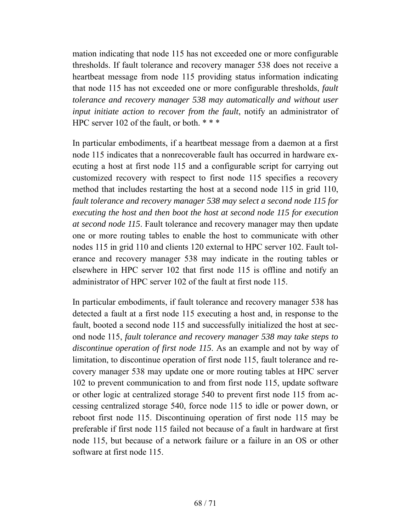mation indicating that node 115 has not exceeded one or more configurable thresholds. If fault tolerance and recovery manager 538 does not receive a heartbeat message from node 115 providing status information indicating that node 115 has not exceeded one or more configurable thresholds, *fault tolerance and recovery manager 538 may automatically and without user input initiate action to recover from the fault*, notify an administrator of HPC server 102 of the fault, or both. \* \* \*

In particular embodiments, if a heartbeat message from a daemon at a first node 115 indicates that a nonrecoverable fault has occurred in hardware executing a host at first node 115 and a configurable script for carrying out customized recovery with respect to first node 115 specifies a recovery method that includes restarting the host at a second node 115 in grid 110, *fault tolerance and recovery manager 538 may select a second node 115 for executing the host and then boot the host at second node 115 for execution at second node 115*. Fault tolerance and recovery manager may then update one or more routing tables to enable the host to communicate with other nodes 115 in grid 110 and clients 120 external to HPC server 102. Fault tolerance and recovery manager 538 may indicate in the routing tables or elsewhere in HPC server 102 that first node 115 is offline and notify an administrator of HPC server 102 of the fault at first node 115.

In particular embodiments, if fault tolerance and recovery manager 538 has detected a fault at a first node 115 executing a host and, in response to the fault, booted a second node 115 and successfully initialized the host at second node 115, *fault tolerance and recovery manager 538 may take steps to discontinue operation of first node 115*. As an example and not by way of limitation, to discontinue operation of first node 115, fault tolerance and recovery manager 538 may update one or more routing tables at HPC server 102 to prevent communication to and from first node 115, update software or other logic at centralized storage 540 to prevent first node 115 from accessing centralized storage 540, force node 115 to idle or power down, or reboot first node 115. Discontinuing operation of first node 115 may be preferable if first node 115 failed not because of a fault in hardware at first node 115, but because of a network failure or a failure in an OS or other software at first node 115.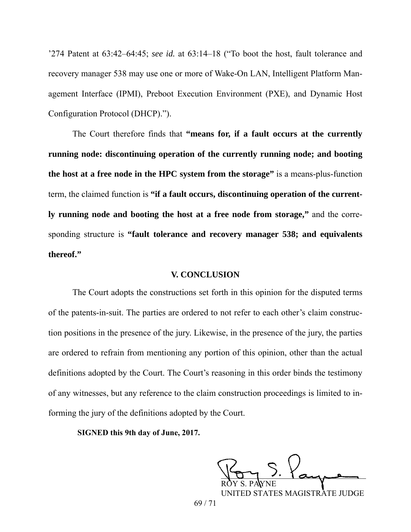'274 Patent at 63:42–64:45; *see id.* at 63:14–18 ("To boot the host, fault tolerance and recovery manager 538 may use one or more of Wake-On LAN, Intelligent Platform Management Interface (IPMI), Preboot Execution Environment (PXE), and Dynamic Host Configuration Protocol (DHCP).").

The Court therefore finds that **"means for, if a fault occurs at the currently running node: discontinuing operation of the currently running node; and booting the host at a free node in the HPC system from the storage"** is a means-plus-function term, the claimed function is **"if a fault occurs, discontinuing operation of the currently running node and booting the host at a free node from storage,"** and the corresponding structure is **"fault tolerance and recovery manager 538; and equivalents thereof."** 

## **V. CONCLUSION**

The Court adopts the constructions set forth in this opinion for the disputed terms of the patents-in-suit. The parties are ordered to not refer to each other's claim construction positions in the presence of the jury. Likewise, in the presence of the jury, the parties are ordered to refrain from mentioning any portion of this opinion, other than the actual definitions adopted by the Court. The Court's reasoning in this order binds the testimony of any witnesses, but any reference to the claim construction proceedings is limited to informing the jury of the definitions adopted by the Court. **SIGNED this 3rd day of January, 2012.**

**SIGNED this 9th day of June, 2017.**

 $VOTY$  , and ROY S. PAYNE

UNITED STATES MAGISTRATE JUDGE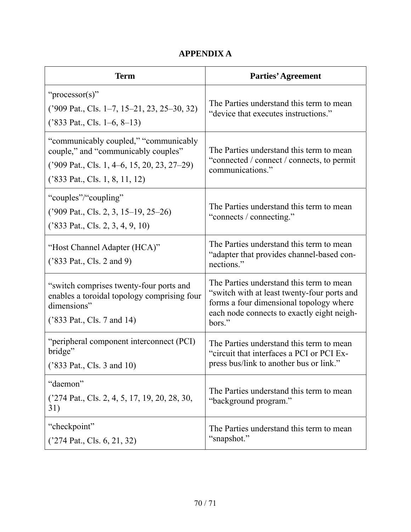# **APPENDIX A**

| <b>Term</b>                                                                                                                                                     | <b>Parties' Agreement</b>                                                                                                                                                                  |
|-----------------------------------------------------------------------------------------------------------------------------------------------------------------|--------------------------------------------------------------------------------------------------------------------------------------------------------------------------------------------|
| " $\text{processor(s)}$ "<br>$('909 Pat., Cls. 1–7, 15–21, 23, 25–30, 32)$<br>('833 Pat., Cls. 1–6, 8–13)                                                       | The Parties understand this term to mean<br>"device that executes instructions."                                                                                                           |
| "communicably coupled," "communicably<br>couple," and "communicably couples"<br>$('909 Pat., Cls. 1, 4–6, 15, 20, 23, 27–29)$<br>('833 Pat., Cls. 1, 8, 11, 12) | The Parties understand this term to mean<br>"connected / connect / connects, to permit<br>communications."                                                                                 |
| "couples"/"coupling"<br>('909 Pat., Cls. 2, 3, 15–19, 25–26)<br>('833 Pat., Cls. 2, 3, 4, 9, 10)                                                                | The Parties understand this term to mean<br>"connects / connecting."                                                                                                                       |
| "Host Channel Adapter (HCA)"<br>('833 Pat., Cls. 2 and 9)                                                                                                       | The Parties understand this term to mean<br>"adapter that provides channel-based con-<br>nections."                                                                                        |
| "switch comprises twenty-four ports and<br>enables a toroidal topology comprising four<br>dimensions"<br>('833 Pat., Cls. 7 and 14)                             | The Parties understand this term to mean<br>"switch with at least twenty-four ports and<br>forms a four dimensional topology where<br>each node connects to exactly eight neigh-<br>bors." |
| "peripheral component interconnect (PCI)<br>bridge"<br>('833 Pat., Cls. 3 and 10)                                                                               | The Parties understand this term to mean<br>"circuit that interfaces a PCI or PCI Ex-<br>press bus/link to another bus or link."                                                           |
| "daemon"<br>$('274 Pat., Cls. 2, 4, 5, 17, 19, 20, 28, 30,$<br>31)                                                                                              | The Parties understand this term to mean<br>"background program."                                                                                                                          |
| "checkpoint"<br>('274 Pat., Cls. 6, 21, 32)                                                                                                                     | The Parties understand this term to mean<br>"snapshot."                                                                                                                                    |